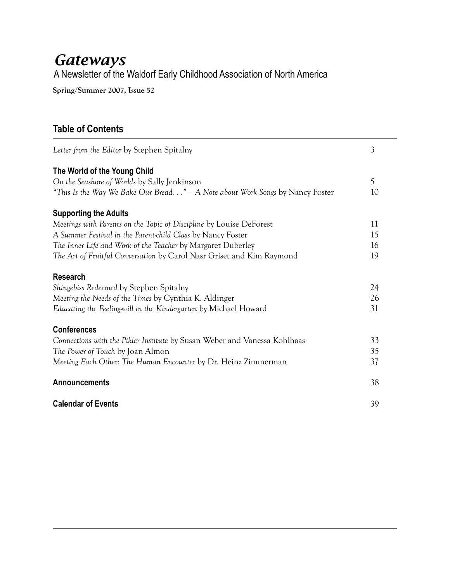### *Gateways* A Newsletter of the Waldorf Early Childhood Association of North America

**Spring/Summer 2007, Issue 52**

### **Table of Contents**

| Letter from the Editor by Stephen Spitalny                                    | 3  |
|-------------------------------------------------------------------------------|----|
| The World of the Young Child                                                  |    |
| On the Seashore of Worlds by Sally Jenkinson                                  | 5  |
| "This Is the Way We Bake Our Bread" – A Note about Work Songs by Nancy Foster | 10 |
| <b>Supporting the Adults</b>                                                  |    |
| Meetings with Parents on the Topic of Discipline by Louise DeForest           | 11 |
| A Summer Festival in the Parent-child Class by Nancy Foster                   | 15 |
| The Inner Life and Work of the Teacher by Margaret Duberley                   | 16 |
| The Art of Fruitful Conversation by Carol Nasr Griset and Kim Raymond         | 19 |
| <b>Research</b>                                                               |    |
| Shingebiss Redeemed by Stephen Spitalny                                       | 24 |
| Meeting the Needs of the Times by Cynthia K. Aldinger                         | 26 |
| Educating the Feeling-will in the Kindergarten by Michael Howard              | 31 |
| <b>Conferences</b>                                                            |    |
| Connections with the Pikler Institute by Susan Weber and Vanessa Kohlhaas     | 33 |
| The Power of Touch by Joan Almon                                              | 35 |
| Meeting Each Other: The Human Encounter by Dr. Heinz Zimmerman                | 37 |
| <b>Announcements</b>                                                          | 38 |
| <b>Calendar of Events</b>                                                     | 39 |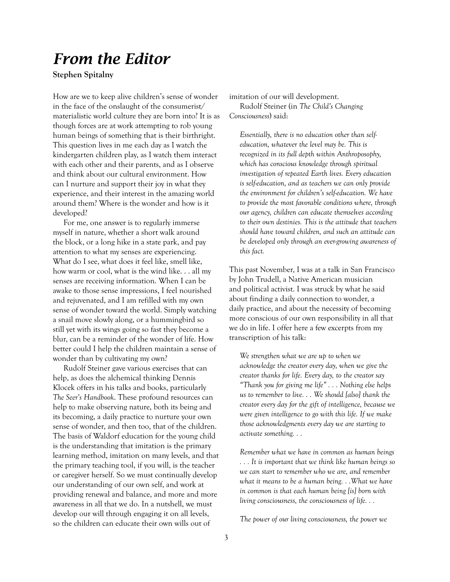### *From the Editor*

### **Stephen Spitalny**

How are we to keep alive children's sense of wonder in the face of the onslaught of the consumerist/ materialistic world culture they are born into? It is as though forces are at work attempting to rob young human beings of something that is their birthright. This question lives in me each day as I watch the kindergarten children play, as I watch them interact with each other and their parents, and as I observe and think about our cultural environment. How can I nurture and support their joy in what they experience, and their interest in the amazing world around them? Where is the wonder and how is it developed?

For me, one answer is to regularly immerse myself in nature, whether a short walk around the block, or a long hike in a state park, and pay attention to what my senses are experiencing. What do I see, what does it feel like, smell like, how warm or cool, what is the wind like. . . all my senses are receiving information. When I can be awake to those sense impressions, I feel nourished and rejuvenated, and I am refilled with my own sense of wonder toward the world. Simply watching a snail move slowly along, or a hummingbird so still yet with its wings going so fast they become a blur, can be a reminder of the wonder of life. How better could I help the children maintain a sense of wonder than by cultivating my own?

Rudolf Steiner gave various exercises that can help, as does the alchemical thinking Dennis Klocek offers in his talks and books, particularly *The Seer's Handbook*. These profound resources can help to make observing nature, both its being and its becoming, a daily practice to nurture your own sense of wonder, and then too, that of the children. The basis of Waldorf education for the young child is the understanding that imitation is the primary learning method, imitation on many levels, and that the primary teaching tool, if you will, is the teacher or caregiver herself. So we must continually develop our understanding of our own self, and work at providing renewal and balance, and more and more awareness in all that we do. In a nutshell, we must develop our will through engaging it on all levels, so the children can educate their own wills out of

imitation of our will development. Rudolf Steiner (in *The Child's Changing Consciousness*) said:

*Essentially, there is no education other than selfeducation, whatever the level may be. This is recognized in its full depth within Anthroposophy, which has conscious knowledge through spiritual investigation of repeated Earth lives. Every education is self-education, and as teachers we can only provide the environment for children's self-education. We have to provide the most favorable conditions where, through our agency, children can educate themselves according to their own destinies. This is the attitude that teachers should have toward children, and such an attitude can be developed only through an ever-growing awareness of this fact.*

This past November, I was at a talk in San Francisco by John Trudell, a Native American musician and political activist. I was struck by what he said about finding a daily connection to wonder, a daily practice, and about the necessity of becoming more conscious of our own responsibility in all that we do in life. I offer here a few excerpts from my transcription of his talk:

*We strengthen what we are up to when we acknowledge the creator every day, when we give the creator thanks for life. Every day, to the creator say "Thank you for giving me life" . . . Nothing else helps us to remember to live. . . We should [also] thank the creator every day for the gift of intelligence, because we were given intelligence to go with this life. If we make those acknowledgments every day we are starting to activate something. . .*

*Remember what we have in common as human beings . . . It is important that we think like human beings so we can start to remember who we are, and remember what it means to be a human being. . .What we have in common is that each human being [is] born with living consciousness, the consciousness of life. . .* 

*The power of our living consciousness, the power we*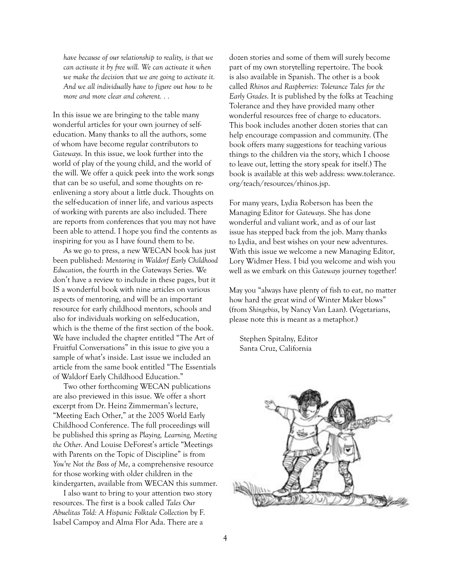*have because of our relationship to reality, is that we can activate it by free will. We can activate it when we make the decision that we are going to activate it. And we all individually have to figure out how to be more and more clear and coherent. . .*

In this issue we are bringing to the table many wonderful articles for your own journey of selfeducation. Many thanks to all the authors, some of whom have become regular contributors to *Gateways*. In this issue, we look further into the world of play of the young child, and the world of the will. We offer a quick peek into the work songs that can be so useful, and some thoughts on reenlivening a story about a little duck. Thoughts on the self-education of inner life, and various aspects of working with parents are also included. There are reports from conferences that you may not have been able to attend. I hope you find the contents as inspiring for you as I have found them to be.

As we go to press, a new WECAN book has just been published: *Mentoring in Waldorf Early Childhood Education*, the fourth in the Gateways Series. We don't have a review to include in these pages, but it IS a wonderful book with nine articles on various aspects of mentoring, and will be an important resource for early childhood mentors, schools and also for individuals working on self-education, which is the theme of the first section of the book. We have included the chapter entitled "The Art of Fruitful Conversations" in this issue to give you a sample of what's inside. Last issue we included an article from the same book entitled "The Essentials of Waldorf Early Childhood Education."

Two other forthcoming WECAN publications are also previewed in this issue. We offer a short excerpt from Dr. Heinz Zimmerman's lecture, "Meeting Each Other," at the 2005 World Early Childhood Conference. The full proceedings will be published this spring as *Playing, Learning, Meeting the Other*. And Louise DeForest's article "Meetings with Parents on the Topic of Discipline" is from *You're Not the Boss of Me*, a comprehensive resource for those working with older children in the kindergarten, available from WECAN this summer.

I also want to bring to your attention two story resources. The first is a book called *Tales Our Abuelitas Told: A Hispanic Folktale Collection* by F. Isabel Campoy and Alma Flor Ada. There are a

dozen stories and some of them will surely become part of my own storytelling repertoire. The book is also available in Spanish. The other is a book called *Rhinos and Raspberries: Tolerance Tales for the Early Grades*. It is published by the folks at Teaching Tolerance and they have provided many other wonderful resources free of charge to educators. This book includes another dozen stories that can help encourage compassion and community. (The book offers many suggestions for teaching various things to the children via the story, which I choose to leave out, letting the story speak for itself.) The book is available at this web address: www.tolerance. org/teach/resources/rhinos.jsp.

For many years, Lydia Roberson has been the Managing Editor for *Gateways*. She has done wonderful and valiant work, and as of our last issue has stepped back from the job. Many thanks to Lydia, and best wishes on your new adventures. With this issue we welcome a new Managing Editor, Lory Widmer Hess. I bid you welcome and wish you well as we embark on this *Gateways* journey together!

May you "always have plenty of fish to eat, no matter how hard the great wind of Winter Maker blows" (from *Shingebiss*, by Nancy Van Laan). (Vegetarians, please note this is meant as a metaphor.)

Stephen Spitalny, Editor Santa Cruz, California

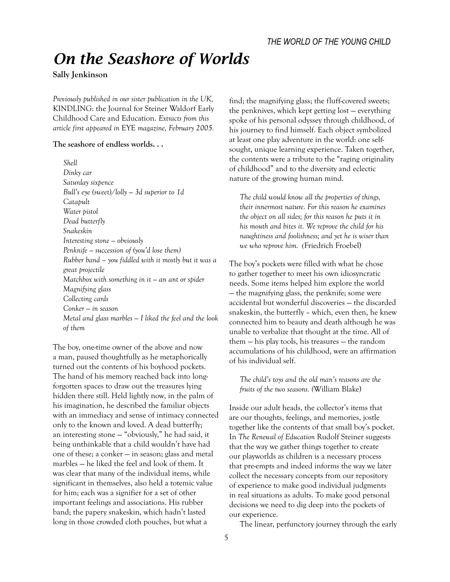### *THE WORLD OF THE YOUNG CHILD*

## *On the Seashore of Worlds*

### **Sally Jenkinson**

*Previously published in our sister publication in the UK,*  KINDLING: the Journal for Steiner Waldorf Early Childhood Care and Education. *Extracts from this article first appeared in* EYE *magazine, February 2005.*

### **The seashore of endless worlds. . .**

*Shell*

*Dinky car Saturday sixpence Bull's eye (sweet)/lolly — 3d superior to 1d Catapult Water pistol Dead butterfly Snakeskin Interesting stone — obviously Penknife — succession of (you'd lose them) Rubber band – you fiddled with it mostly but it was a great projectile Matchbox with something in it — an ant or spider Magnifying glass Collecting cards Conker — in season Metal and glass marbles — I liked the feel and the look of them*

The boy, one-time owner of the above and now a man, paused thoughtfully as he metaphorically turned out the contents of his boyhood pockets. The hand of his memory reached back into longforgotten spaces to draw out the treasures lying hidden there still. Held lightly now, in the palm of his imagination, he described the familiar objects with an immediacy and sense of intimacy connected only to the known and loved. A dead butterfly; an interesting stone — "obviously," he had said, it being unthinkable that a child wouldn't have had one of these; a conker — in season; glass and metal marbles — he liked the feel and look of them. It was clear that many of the individual items, while significant in themselves, also held a totemic value for him; each was a signifier for a set of other important feelings and associations. His rubber band; the papery snakeskin, which hadn't lasted long in those crowded cloth pouches, but what a

find; the magnifying glass; the fluff-covered sweets; the penknives, which kept getting lost — everything spoke of his personal odyssey through childhood, of his journey to find himself. Each object symbolized at least one play adventure in the world: one selfsought, unique learning experience. Taken together, the contents were a tribute to the "raging originality of childhood" and to the diversity and eclectic nature of the growing human mind.

*The child would know all the properties of things, their innermost nature. For this reason he examines the object on all sides; for this reason he puts it in his mouth and bites it. We reprove the child for his naughtiness and foolishness; and yet he is wiser than we who reprove him.* (Friedrich Froebel)

The boy's pockets were filled with what he chose to gather together to meet his own idiosyncratic needs. Some items helped him explore the world — the magnifying glass, the penknife; some were accidental but wonderful discoveries — the discarded snakeskin, the butterfly – which, even then, he knew connected him to beauty and death although he was unable to verbalize that thought at the time. All of them — his play tools, his treasures — the random accumulations of his childhood, were an affirmation of his individual self.

*The child's toys and the old man's reasons are the fruits of the two seasons. (*William Blake)

Inside our adult heads, the collector's items that are our thoughts, feelings, and memories, jostle together like the contents of that small boy's pocket. In *The Renewal of Education* Rudolf Steiner suggests that the way we gather things together to create our playworlds as children is a necessary process that pre-empts and indeed informs the way we later collect the necessary concepts from our repository of experience to make good individual judgments in real situations as adults. To make good personal decisions we need to dig deep into the pockets of our experience.

The linear, perfunctory journey through the early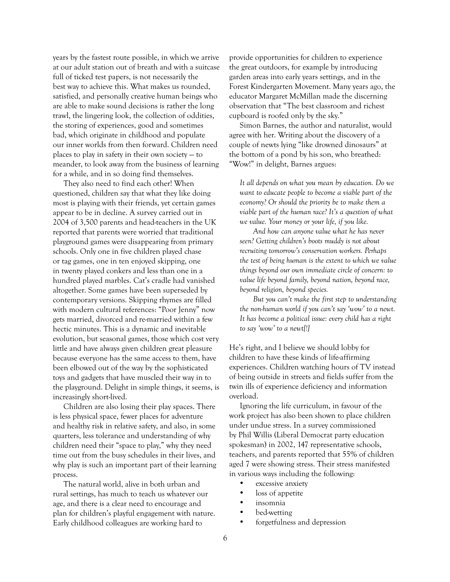years by the fastest route possible, in which we arrive at our adult station out of breath and with a suitcase full of ticked test papers, is not necessarily the best way to achieve this. What makes us rounded, satisfied, and personally creative human beings who are able to make sound decisions is rather the long trawl, the lingering look, the collection of oddities, the storing of experiences, good and sometimes bad, which originate in childhood and populate our inner worlds from then forward. Children need places to play in safety in their own society — to meander, to look away from the business of learning for a while, and in so doing find themselves.

They also need to find each other! When questioned, children say that what they like doing most is playing with their friends, yet certain games appear to be in decline. A survey carried out in 2004 of 3,500 parents and head-teachers in the UK reported that parents were worried that traditional playground games were disappearing from primary schools. Only one in five children played chase or tag games, one in ten enjoyed skipping, one in twenty played conkers and less than one in a hundred played marbles. Cat's cradle had vanished altogether. Some games have been superseded by contemporary versions. Skipping rhymes are filled with modern cultural references: "Poor Jenny" now gets married, divorced and re-married within a few hectic minutes. This is a dynamic and inevitable evolution, but seasonal games, those which cost very little and have always given children great pleasure because everyone has the same access to them, have been elbowed out of the way by the sophisticated toys and gadgets that have muscled their way in to the playground. Delight in simple things, it seems, is increasingly short-lived.

Children are also losing their play spaces. There is less physical space, fewer places for adventure and healthy risk in relative safety, and also, in some quarters, less tolerance and understanding of why children need their "space to play," why they need time out from the busy schedules in their lives, and why play is such an important part of their learning process.

The natural world, alive in both urban and rural settings, has much to teach us whatever our age, and there is a clear need to encourage and plan for children's playful engagement with nature. Early childhood colleagues are working hard to

provide opportunities for children to experience the great outdoors, for example by introducing garden areas into early years settings, and in the Forest Kindergarten Movement. Many years ago, the educator Margaret McMillan made the discerning observation that "The best classroom and richest cupboard is roofed only by the sky."

Simon Barnes, the author and naturalist, would agree with her. Writing about the discovery of a couple of newts lying "like drowned dinosaurs" at the bottom of a pond by his son, who breathed: "Wow!" in delight, Barnes argues:

*It all depends on what you mean by education. Do we want to educate people to become a viable part of the economy? Or should the priority be to make them a viable part of the human race? It's a question of what we value. Your money or your life, if you like.*

*And how can anyone value what he has never seen? Getting children's boots muddy is not about recruiting tomorrow's conservation workers. Perhaps the test of being human is the extent to which we value things beyond our own immediate circle of concern: to value life beyond family, beyond nation, beyond race, beyond religion, beyond species.* 

*But you can't make the first step to understanding the non-human world if you can't say 'wow' to a newt. It has become a political issue: every child has a right to say 'wow' to a newt[!]*

He's right, and I believe we should lobby for children to have these kinds of life-affirming experiences. Children watching hours of TV instead of being outside in streets and fields suffer from the twin ills of experience deficiency and information overload.

Ignoring the life curriculum, in favour of the work project has also been shown to place children under undue stress. In a survey commissioned by Phil Willis (Liberal Democrat party education spokesman) in 2002, 147 representative schools, teachers, and parents reported that 55% of children aged 7 were showing stress. Their stress manifested in various ways including the following:

- excessive anxiety
- loss of appetite
- insomnia
- bed-wetting
- forgetfulness and depression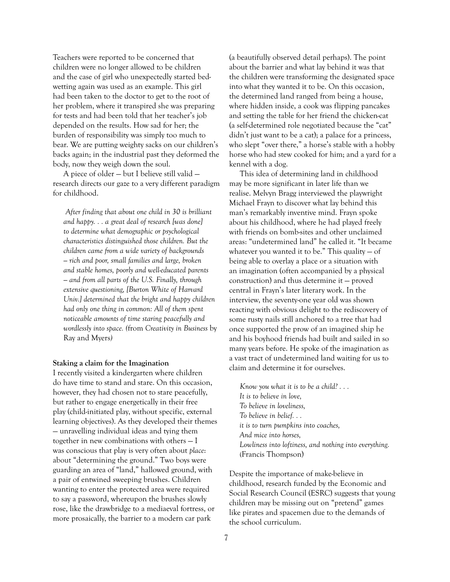Teachers were reported to be concerned that children were no longer allowed to be children and the case of girl who unexpectedly started bedwetting again was used as an example. This girl had been taken to the doctor to get to the root of her problem, where it transpired she was preparing for tests and had been told that her teacher's job depended on the results. How sad for her; the burden of responsibility was simply too much to bear. We are putting weighty sacks on our children's backs again; in the industrial past they deformed the body, now they weigh down the soul.

A piece of older — but I believe still valid research directs our gaze to a very different paradigm for childhood.

 *After finding that about one child in 30 is brilliant and happy. . . a great deal of research [was done] to determine what demographic or psychological characteristics distinguished those children. But the children came from a wide variety of backgrounds — rich and poor, small families and large, broken and stable homes, poorly and well-educated parents — and from all parts of the U.S. Finally, through extensive questioning, [Burton White of Harvard Univ.] determined that the bright and happy children had only one thing in common: All of them spent noticeable amounts of time staring peacefully and wordlessly into space. (*from *Creativity in Business* by Ray and Myers*)*

### **Staking a claim for the Imagination**

I recently visited a kindergarten where children do have time to stand and stare. On this occasion, however, they had chosen not to stare peacefully, but rather to engage energetically in their free play (child-initiated play, without specific, external learning objectives). As they developed their themes — unravelling individual ideas and tying them together in new combinations with others — I was conscious that play is very often about *place*: about "determining the ground." Two boys were guarding an area of "land," hallowed ground, with a pair of entwined sweeping brushes. Children wanting to enter the protected area were required to say a password, whereupon the brushes slowly rose, like the drawbridge to a mediaeval fortress, or more prosaically, the barrier to a modern car park

(a beautifully observed detail perhaps). The point about the barrier and what lay behind it was that the children were transforming the designated space into what they wanted it to be. On this occasion, the determined land ranged from being a house, where hidden inside, a cook was flipping pancakes and setting the table for her friend the chicken-cat (a self-determined role negotiated because the "cat" didn't just want to be a cat); a palace for a princess, who slept "over there," a horse's stable with a hobby horse who had stew cooked for him; and a yard for a kennel with a dog.

This idea of determining land in childhood may be more significant in later life than we realise. Melvyn Bragg interviewed the playwright Michael Frayn to discover what lay behind this man's remarkably inventive mind. Frayn spoke about his childhood, where he had played freely with friends on bomb-sites and other unclaimed areas: "undetermined land" he called it. "It became whatever you wanted it to be." This quality  $-$  of being able to overlay a place or a situation with an imagination (often accompanied by a physical construction) and thus determine it — proved central in Frayn's later literary work. In the interview, the seventy-one year old was shown reacting with obvious delight to the rediscovery of some rusty nails still anchored to a tree that had once supported the prow of an imagined ship he and his boyhood friends had built and sailed in so many years before. He spoke of the imagination as a vast tract of undetermined land waiting for us to claim and determine it for ourselves.

*Know you what it is to be a child? . . . It is to believe in love, To believe in loveliness, To believe in belief. . . it is to turn pumpkins into coaches, And mice into horses, Lowliness into loftiness, and nothing into everything.* (Francis Thompson)

Despite the importance of make-believe in childhood, research funded by the Economic and Social Research Council (ESRC) suggests that young children may be missing out on "pretend" games like pirates and spacemen due to the demands of the school curriculum.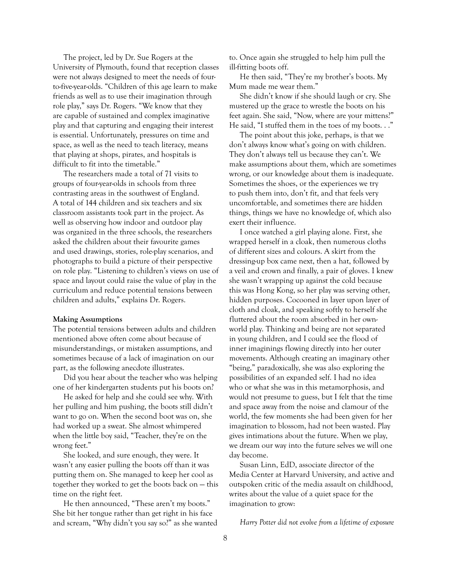The project, led by Dr. Sue Rogers at the University of Plymouth, found that reception classes were not always designed to meet the needs of fourto-five-year-olds. "Children of this age learn to make friends as well as to use their imagination through role play," says Dr. Rogers. "We know that they are capable of sustained and complex imaginative play and that capturing and engaging their interest is essential. Unfortunately, pressures on time and space, as well as the need to teach literacy, means that playing at shops, pirates, and hospitals is difficult to fit into the timetable."

The researchers made a total of 71 visits to groups of four-year-olds in schools from three contrasting areas in the southwest of England. A total of 144 children and six teachers and six classroom assistants took part in the project. As well as observing how indoor and outdoor play was organized in the three schools, the researchers asked the children about their favourite games and used drawings, stories, role-play scenarios, and photographs to build a picture of their perspective on role play. "Listening to children's views on use of space and layout could raise the value of play in the curriculum and reduce potential tensions between children and adults," explains Dr. Rogers.

#### **Making Assumptions**

The potential tensions between adults and children mentioned above often come about because of misunderstandings, or mistaken assumptions, and sometimes because of a lack of imagination on our part, as the following anecdote illustrates.

Did you hear about the teacher who was helping one of her kindergarten students put his boots on?

He asked for help and she could see why. With her pulling and him pushing, the boots still didn't want to go on. When the second boot was on, she had worked up a sweat. She almost whimpered when the little boy said, "Teacher, they're on the wrong feet."

She looked, and sure enough, they were. It wasn't any easier pulling the boots off than it was putting them on. She managed to keep her cool as together they worked to get the boots back on — this time on the right feet.

He then announced, "These aren't my boots." She bit her tongue rather than get right in his face and scream, "Why didn't you say so?" as she wanted to. Once again she struggled to help him pull the ill-fitting boots off.

He then said, "They're my brother's boots. My Mum made me wear them."

She didn't know if she should laugh or cry. She mustered up the grace to wrestle the boots on his feet again. She said, "Now, where are your mittens?" He said, "I stuffed them in the toes of my boots. . ."

The point about this joke, perhaps, is that we don't always know what's going on with children. They don't always tell us because they can't. We make assumptions about them, which are sometimes wrong, or our knowledge about them is inadequate. Sometimes the shoes, or the experiences we try to push them into, don't fit, and that feels very uncomfortable, and sometimes there are hidden things, things we have no knowledge of, which also exert their influence.

I once watched a girl playing alone. First, she wrapped herself in a cloak, then numerous cloths of different sizes and colours. A skirt from the dressing-up box came next, then a hat, followed by a veil and crown and finally, a pair of gloves. I knew she wasn't wrapping up against the cold because this was Hong Kong, so her play was serving other, hidden purposes. Cocooned in layer upon layer of cloth and cloak, and speaking softly to herself she fluttered about the room absorbed in her ownworld play. Thinking and being are not separated in young children, and I could see the flood of inner imaginings flowing directly into her outer movements. Although creating an imaginary other "being," paradoxically, she was also exploring the possibilities of an expanded self. I had no idea who or what she was in this metamorphosis, and would not presume to guess, but I felt that the time and space away from the noise and clamour of the world, the few moments she had been given for her imagination to blossom, had not been wasted. Play gives intimations about the future. When we play, we dream our way into the future selves we will one day become.

Susan Linn, EdD, associate director of the Media Center at Harvard University, and active and outspoken critic of the media assault on childhood, writes about the value of a quiet space for the imagination to grow:

*Harry Potter did not evolve from a lifetime of exposure*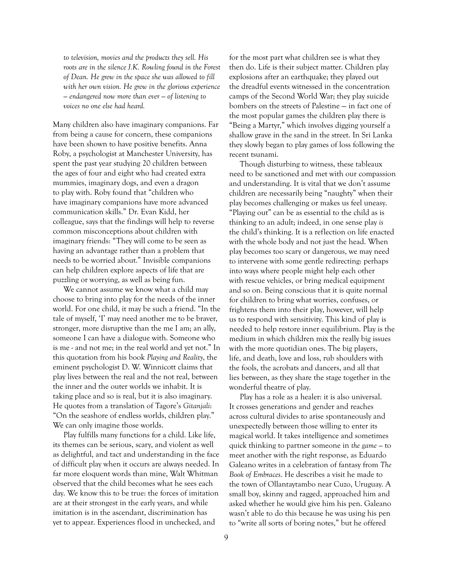*to television, movies and the products they sell. His roots are in the silence J.K. Rowling found in the Forest of Dean. He grew in the space she was allowed to fill with her own vision. He grew in the glorious experience — endangered now more than ever — of listening to voices no one else had heard.*

Many children also have imaginary companions. Far from being a cause for concern, these companions have been shown to have positive benefits. Anna Roby, a psychologist at Manchester University, has spent the past year studying 20 children between the ages of four and eight who had created extra mummies, imaginary dogs, and even a dragon to play with. Roby found that "children who have imaginary companions have more advanced communication skills." Dr. Evan Kidd, her colleague, says that the findings will help to reverse common misconceptions about children with imaginary friends: "They will come to be seen as having an advantage rather than a problem that needs to be worried about." Invisible companions can help children explore aspects of life that are puzzling or worrying, as well as being fun.

We cannot assume we know what a child may choose to bring into play for the needs of the inner world. For one child, it may be such a friend. "In the tale of myself, 'I' may need another me to be braver, stronger, more disruptive than the me I am; an ally, someone I can have a dialogue with. Someone who is me - and not me; in the real world and yet not." In this quotation from his book *Playing and Reality*, the eminent psychologist D. W. Winnicott claims that play lives between the real and the not real, between the inner and the outer worlds we inhabit. It is taking place and so is real, but it is also imaginary. He quotes from a translation of Tagore's *Gitanjali*: "On the seashore of endless worlds, children play." We can only imagine those worlds.

Play fulfills many functions for a child. Like life, its themes can be serious, scary, and violent as well as delightful, and tact and understanding in the face of difficult play when it occurs are always needed. In far more eloquent words than mine, Walt Whitman observed that the child becomes what he sees each day. We know this to be true: the forces of imitation are at their strongest in the early years, and while imitation is in the ascendant, discrimination has yet to appear. Experiences flood in unchecked, and

for the most part what children see is what they then do. Life is their subject matter. Children play explosions after an earthquake; they played out the dreadful events witnessed in the concentration camps of the Second World War; they play suicide bombers on the streets of Palestine — in fact one of the most popular games the children play there is "Being a Martyr," which involves digging yourself a shallow grave in the sand in the street. In Sri Lanka they slowly began to play games of loss following the recent tsunami.

Though disturbing to witness, these tableaux need to be sanctioned and met with our compassion and understanding. It is vital that we don't assume children are necessarily being "naughty" when their play becomes challenging or makes us feel uneasy. "Playing out" can be as essential to the child as is thinking to an adult; indeed, in one sense play *is* the child's thinking. It is a reflection on life enacted with the whole body and not just the head. When play becomes too scary or dangerous, we may need to intervene with some gentle redirecting: perhaps into ways where people might help each other with rescue vehicles, or bring medical equipment and so on. Being conscious that it is quite normal for children to bring what worries, confuses, or frightens them into their play, however, will help us to respond with sensitivity. This kind of play is needed to help restore inner equilibrium. Play is the medium in which children mix the really big issues with the more quotidian ones. The big players, life, and death, love and loss, rub shoulders with the fools, the acrobats and dancers, and all that lies between, as they share the stage together in the wonderful theatre of play.

Play has a role as a healer: it is also universal. It crosses generations and gender and reaches across cultural divides to arise spontaneously and unexpectedly between those willing to enter its magical world. It takes intelligence and sometimes quick thinking to partner someone in *the game —* to meet another with the right response, as Eduardo Galeano writes in a celebration of fantasy from *The Book of Embraces*. He describes a visit he made to the town of Ollantaytambo near Cuzo, Uruguay. A small boy, skinny and ragged, approached him and asked whether he would give him his pen. Galeano wasn't able to do this because he was using his pen to "write all sorts of boring notes," but he offered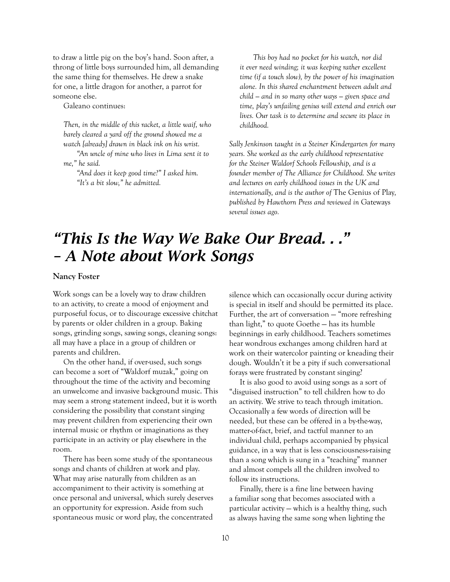to draw a little pig on the boy's hand. Soon after, a throng of little boys surrounded him, all demanding the same thing for themselves. He drew a snake for one, a little dragon for another, a parrot for someone else.

Galeano continues:

*Then, in the middle of this racket, a little waif, who barely cleared a yard off the ground showed me a watch [already] drawn in black ink on his wrist.*

*"An uncle of mine who lives in Lima sent it to me," he said.*

*"And does it keep good time?" I asked him. "It's a bit slow," he admitted.*

*This boy had no pocket for his watch, nor did it ever need winding; it was keeping rather excellent time (if a touch slow), by the power of his imagination alone. In this shared enchantment between adult and child — and in so many other ways — given space and time, play's unfailing genius will extend and enrich our lives. Our task is to determine and secure its place in childhood.* 

*Sally Jenkinson taught in a Steiner Kindergarten for many years. She worked as the early childhood representative for the Steiner Waldorf Schools Fellowship, and is a founder member of The Alliance for Childhood. She writes and lectures on early childhood issues in the UK and internationally, and is the author of* The Genius of Play*, published by Hawthorn Press and reviewed in* Gateways *several issues ago.*

## *"This Is the Way We Bake Our Bread. . ." – A Note about Work Songs*

### **Nancy Foster**

Work songs can be a lovely way to draw children to an activity, to create a mood of enjoyment and purposeful focus, or to discourage excessive chitchat by parents or older children in a group. Baking songs, grinding songs, sawing songs, cleaning songs: all may have a place in a group of children or parents and children.

On the other hand, if over-used, such songs can become a sort of "Waldorf muzak," going on throughout the time of the activity and becoming an unwelcome and invasive background music. This may seem a strong statement indeed, but it is worth considering the possibility that constant singing may prevent children from experiencing their own internal music or rhythm or imaginations as they participate in an activity or play elsewhere in the room.

There has been some study of the spontaneous songs and chants of children at work and play. What may arise naturally from children as an accompaniment to their activity is something at once personal and universal, which surely deserves an opportunity for expression. Aside from such spontaneous music or word play, the concentrated

silence which can occasionally occur during activity is special in itself and should be permitted its place. Further, the art of conversation — "more refreshing than light," to quote Goethe — has its humble beginnings in early childhood. Teachers sometimes hear wondrous exchanges among children hard at work on their watercolor painting or kneading their dough. Wouldn't it be a pity if such conversational forays were frustrated by constant singing?

It is also good to avoid using songs as a sort of "disguised instruction" to tell children how to do an activity. We strive to teach through imitation. Occasionally a few words of direction will be needed, but these can be offered in a by-the-way, matter-of-fact, brief, and tactful manner to an individual child, perhaps accompanied by physical guidance, in a way that is less consciousness-raising than a song which is sung in a "teaching" manner and almost compels all the children involved to follow its instructions.

Finally, there is a fine line between having a familiar song that becomes associated with a particular activity — which is a healthy thing, such as always having the same song when lighting the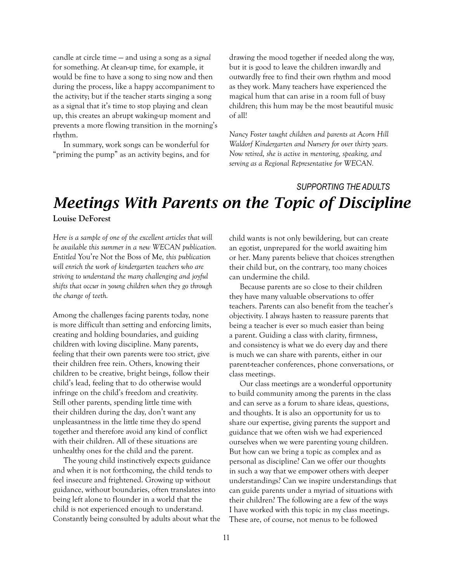candle at circle time — and using a song as a *signal* for something. At clean-up time, for example, it would be fine to have a song to sing now and then during the process, like a happy accompaniment to the activity; but if the teacher starts singing a song as a signal that it's time to stop playing and clean up, this creates an abrupt waking-up moment and prevents a more flowing transition in the morning's rhythm.

In summary, work songs can be wonderful for "priming the pump" as an activity begins, and for

drawing the mood together if needed along the way, but it is good to leave the children inwardly and outwardly free to find their own rhythm and mood as they work. Many teachers have experienced the magical hum that can arise in a room full of busy children; this hum may be the most beautiful music of all!

*Nancy Foster taught children and parents at Acorn Hill Waldorf Kindergarten and Nursery for over thirty years. Now retired, she is active in mentoring, speaking, and serving as a Regional Representative for WECAN.*

### *SUPPORTING THE ADULTS Meetings With Parents on the Topic of Discipline* **Louise DeForest**

*Here is a sample of one of the excellent articles that will be available this summer in a new WECAN publication. Entitled* You're Not the Boss of Me*, this publication will enrich the work of kindergarten teachers who are striving to understand the many challenging and joyful shifts that occur in young children when they go through the change of teeth.*

Among the challenges facing parents today, none is more difficult than setting and enforcing limits, creating and holding boundaries, and guiding children with loving discipline. Many parents, feeling that their own parents were too strict, give their children free rein. Others, knowing their children to be creative, bright beings, follow their child's lead, feeling that to do otherwise would infringe on the child's freedom and creativity. Still other parents, spending little time with their children during the day, don't want any unpleasantness in the little time they do spend together and therefore avoid any kind of conflict with their children. All of these situations are unhealthy ones for the child and the parent.

The young child instinctively expects guidance and when it is not forthcoming, the child tends to feel insecure and frightened. Growing up without guidance, without boundaries, often translates into being left alone to flounder in a world that the child is not experienced enough to understand. Constantly being consulted by adults about what the

child wants is not only bewildering, but can create an egotist, unprepared for the world awaiting him or her. Many parents believe that choices strengthen their child but, on the contrary, too many choices can undermine the child.

Because parents are so close to their children they have many valuable observations to offer teachers. Parents can also benefit from the teacher's objectivity. I always hasten to reassure parents that being a teacher is ever so much easier than being a parent. Guiding a class with clarity, firmness, and consistency is what we do every day and there is much we can share with parents, either in our parent-teacher conferences, phone conversations, or class meetings.

Our class meetings are a wonderful opportunity to build community among the parents in the class and can serve as a forum to share ideas, questions, and thoughts. It is also an opportunity for us to share our expertise, giving parents the support and guidance that we often wish we had experienced ourselves when we were parenting young children. But how can we bring a topic as complex and as personal as discipline? Can we offer our thoughts in such a way that we empower others with deeper understandings? Can we inspire understandings that can guide parents under a myriad of situations with their children? The following are a few of the ways I have worked with this topic in my class meetings. These are, of course, not menus to be followed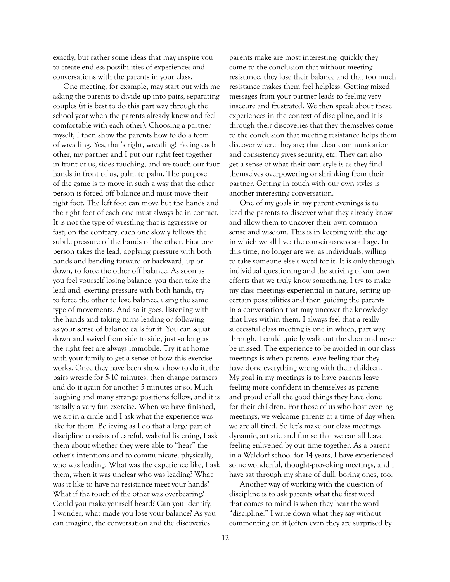exactly, but rather some ideas that may inspire you to create endless possibilities of experiences and conversations with the parents in your class.

One meeting, for example, may start out with me asking the parents to divide up into pairs, separating couples (it is best to do this part way through the school year when the parents already know and feel comfortable with each other). Choosing a partner myself, I then show the parents how to do a form of wrestling. Yes, that's right, wrestling! Facing each other, my partner and I put our right feet together in front of us, sides touching, and we touch our four hands in front of us, palm to palm. The purpose of the game is to move in such a way that the other person is forced off balance and must move their right foot. The left foot can move but the hands and the right foot of each one must always be in contact. It is not the type of wrestling that is aggressive or fast; on the contrary, each one slowly follows the subtle pressure of the hands of the other. First one person takes the lead, applying pressure with both hands and bending forward or backward, up or down, to force the other off balance. As soon as you feel yourself losing balance, you then take the lead and, exerting pressure with both hands, try to force the other to lose balance, using the same type of movements. And so it goes, listening with the hands and taking turns leading or following as your sense of balance calls for it. You can squat down and swivel from side to side, just so long as the right feet are always immobile. Try it at home with your family to get a sense of how this exercise works. Once they have been shown how to do it, the pairs wrestle for 5-10 minutes, then change partners and do it again for another 5 minutes or so. Much laughing and many strange positions follow, and it is usually a very fun exercise. When we have finished, we sit in a circle and I ask what the experience was like for them. Believing as I do that a large part of discipline consists of careful, wakeful listening, I ask them about whether they were able to "hear" the other's intentions and to communicate, physically, who was leading. What was the experience like, I ask them, when it was unclear who was leading? What was it like to have no resistance meet your hands? What if the touch of the other was overbearing? Could you make yourself heard? Can you identify, I wonder, what made you lose your balance? As you can imagine, the conversation and the discoveries

parents make are most interesting; quickly they come to the conclusion that without meeting resistance, they lose their balance and that too much resistance makes them feel helpless. Getting mixed messages from your partner leads to feeling very insecure and frustrated. We then speak about these experiences in the context of discipline, and it is through their discoveries that they themselves come to the conclusion that meeting resistance helps them discover where they are; that clear communication and consistency gives security, etc. They can also get a sense of what their own style is as they find themselves overpowering or shrinking from their partner. Getting in touch with our own styles is another interesting conversation.

One of my goals in my parent evenings is to lead the parents to discover what they already know and allow them to uncover their own common sense and wisdom. This is in keeping with the age in which we all live: the consciousness soul age. In this time, no longer are we, as individuals, willing to take someone else's word for it. It is only through individual questioning and the striving of our own efforts that we truly know something. I try to make my class meetings experiential in nature, setting up certain possibilities and then guiding the parents in a conversation that may uncover the knowledge that lives within them. I always feel that a really successful class meeting is one in which, part way through, I could quietly walk out the door and never be missed. The experience to be avoided in our class meetings is when parents leave feeling that they have done everything wrong with their children. My goal in my meetings is to have parents leave feeling more confident in themselves as parents and proud of all the good things they have done for their children. For those of us who host evening meetings, we welcome parents at a time of day when we are all tired. So let's make our class meetings dynamic, artistic and fun so that we can all leave feeling enlivened by our time together. As a parent in a Waldorf school for 14 years, I have experienced some wonderful, thought-provoking meetings, and I have sat through my share of dull, boring ones, too.

Another way of working with the question of discipline is to ask parents what the first word that comes to mind is when they hear the word "discipline." I write down what they say without commenting on it (often even they are surprised by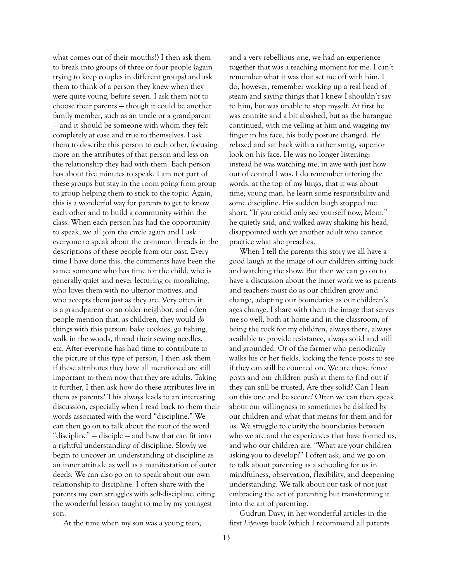what comes out of their mouths!) I then ask them to break into groups of three or four people (again trying to keep couples in different groups) and ask them to think of a person they knew when they were quite young, before seven. I ask them not to choose their parents — though it could be another family member, such as an uncle or a grandparent — and it should be someone with whom they felt completely at ease and true to themselves. I ask them to describe this person to each other, focusing more on the attributes of that person and less on the relationship they had with them. Each person has about five minutes to speak. I am not part of these groups but stay in the room going from group to group helping them to stick to the topic. Again, this is a wonderful way for parents to get to know each other and to build a community within the class. When each person has had the opportunity to speak, we all join the circle again and I ask everyone to speak about the common threads in the descriptions of these people from our past. Every time I have done this, the comments have been the same: someone who has time for the child, who is generally quiet and never lecturing or moralizing, who loves them with no ulterior motives, and who accepts them just as they are. Very often it is a grandparent or an older neighbor, and often people mention that, as children, they would *do* things with this person: bake cookies, go fishing, walk in the woods, thread their sewing needles, etc. After everyone has had time to contribute to the picture of this type of person, I then ask them if these attributes they have all mentioned are still important to them now that they are adults. Taking it further, I then ask how do these attributes live in them as parents? This always leads to an interesting discussion, especially when I read back to them their words associated with the word "discipline." We can then go on to talk about the root of the word "discipline" — disciple — and how that can fit into a rightful understanding of discipline. Slowly we begin to uncover an understanding of discipline as an inner attitude as well as a manifestation of outer deeds. We can also go on to speak about our own relationship to discipline. I often share with the parents my own struggles with self-discipline, citing the wonderful lesson taught to me by my youngest son.

At the time when my son was a young teen,

and a very rebellious one, we had an experience together that was a teaching moment for me. I can't remember what it was that set me off with him. I do, however, remember working up a real head of steam and saying things that I knew I shouldn't say to him, but was unable to stop myself. At first he was contrite and a bit abashed, but as the harangue continued, with me yelling at him and wagging my finger in his face, his body posture changed. He relaxed and sat back with a rather smug, superior look on his face. He was no longer listening; instead he was watching me, in awe with just how out of control I was. I do remember uttering the words, at the top of my lungs, that it was about time, young man, he learn some responsibility and some discipline. His sudden laugh stopped me short. "If you could only see yourself now, Mom," he quietly said, and walked away shaking his head, disappointed with yet another adult who cannot practice what she preaches.

When I tell the parents this story we all have a good laugh at the image of our children sitting back and watching the show. But then we can go on to have a discussion about the inner work we as parents and teachers must do as our children grow and change, adapting our boundaries as our children's ages change. I share with them the image that serves me so well, both at home and in the classroom, of being the rock for my children, always there, always available to provide resistance, always solid and still and grounded. Or of the farmer who periodically walks his or her fields, kicking the fence posts to see if they can still be counted on. We are those fence posts and our children push at them to find out if they can still be trusted. Are they solid? Can I lean on this one and be secure? Often we can then speak about our willingness to sometimes be disliked by our children and what that means for them and for us. We struggle to clarify the boundaries between who we are and the experiences that have formed us, and who our children are. "What are your children asking you to develop?" I often ask, and we go on to talk about parenting as a schooling for us in mindfulness, observation, flexibility, and deepening understanding. We talk about our task of not just embracing the act of parenting but transforming it into the art of parenting.

Gudrun Davy, in her wonderful articles in the first *Lifeways* book (which I recommend all parents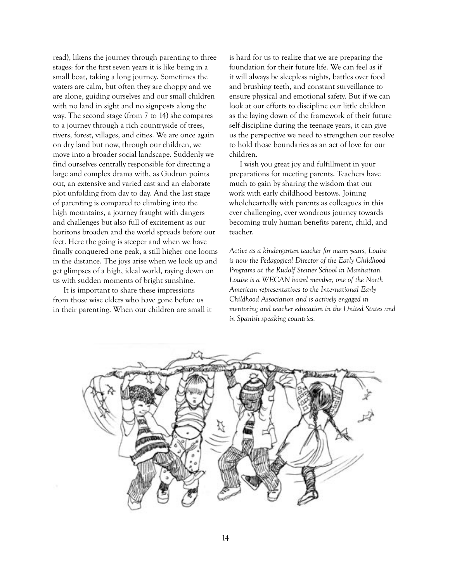read), likens the journey through parenting to three stages: for the first seven years it is like being in a small boat, taking a long journey. Sometimes the waters are calm, but often they are choppy and we are alone, guiding ourselves and our small children with no land in sight and no signposts along the way. The second stage (from 7 to 14) she compares to a journey through a rich countryside of trees, rivers, forest, villages, and cities. We are once again on dry land but now, through our children, we move into a broader social landscape. Suddenly we find ourselves centrally responsible for directing a large and complex drama with, as Gudrun points out, an extensive and varied cast and an elaborate plot unfolding from day to day. And the last stage of parenting is compared to climbing into the high mountains, a journey fraught with dangers and challenges but also full of excitement as our horizons broaden and the world spreads before our feet. Here the going is steeper and when we have finally conquered one peak, a still higher one looms in the distance. The joys arise when we look up and get glimpses of a high, ideal world, raying down on us with sudden moments of bright sunshine.

It is important to share these impressions from those wise elders who have gone before us in their parenting. When our children are small it

is hard for us to realize that we are preparing the foundation for their future life. We can feel as if it will always be sleepless nights, battles over food and brushing teeth, and constant surveillance to ensure physical and emotional safety. But if we can look at our efforts to discipline our little children as the laying down of the framework of their future self-discipline during the teenage years, it can give us the perspective we need to strengthen our resolve to hold those boundaries as an act of love for our children.

I wish you great joy and fulfillment in your preparations for meeting parents. Teachers have much to gain by sharing the wisdom that our work with early childhood bestows. Joining wholeheartedly with parents as colleagues in this ever challenging, ever wondrous journey towards becoming truly human benefits parent, child, and teacher.

*Active as a kindergarten teacher for many years, Louise is now the Pedagogical Director of the Early Childhood Programs at the Rudolf Steiner School in Manhattan. Louise is a WECAN board member, one of the North American representatives to the International Early Childhood Association and is actively engaged in mentoring and teacher education in the United States and in Spanish speaking countries.*

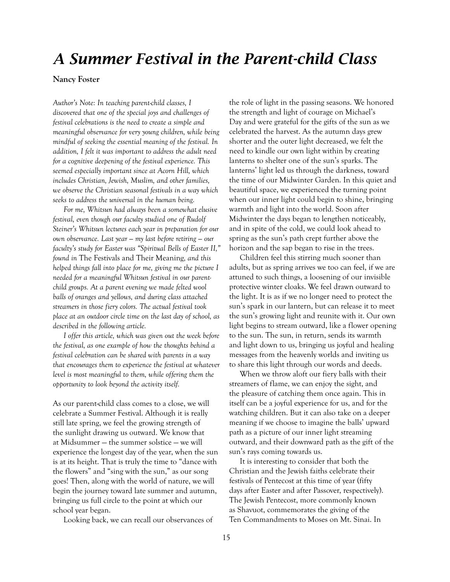### *A Summer Festival in the Parent-child Class*

### **Nancy Foster**

*Author's Note: In teaching parent-child classes, I discovered that one of the special joys and challenges of festival celebrations is the need to create a simple and meaningful observance for very young children, while being mindful of seeking the essential meaning of the festival. In addition, I felt it was important to address the adult need for a cognitive deepening of the festival experience. This seemed especially important since at Acorn Hill, which includes Christian, Jewish, Muslim, and other families, we observe the Christian seasonal festivals in a way which seeks to address the universal in the human being.* 

*For me, Whitsun had always been a somewhat elusive festival, even though our faculty studied one of Rudolf Steiner's Whitsun lectures each year in preparation for our own observance. Last year — my last before retiring — our faculty's study for Easter was "Spiritual Bells of Easter II," found in* The Festivals and Their Meaning*, and this helped things fall into place for me, giving me the picture I needed for a meaningful Whitsun festival in our parentchild groups. At a parent evening we made felted wool balls of oranges and yellows, and during class attached streamers in those fiery colors. The actual festival took place at an outdoor circle time on the last day of school, as described in the following article.* 

*I offer this article, which was given out the week before the festival, as one example of how the thoughts behind a festival celebration can be shared with parents in a way that encourages them to experience the festival at whatever level is most meaningful to them, while offering them the opportunity to look beyond the activity itself.*

As our parent-child class comes to a close, we will celebrate a Summer Festival. Although it is really still late spring, we feel the growing strength of the sunlight drawing us outward. We know that at Midsummer — the summer solstice — we will experience the longest day of the year, when the sun is at its height. That is truly the time to "dance with the flowers" and "sing with the sun," as our song goes! Then, along with the world of nature, we will begin the journey toward late summer and autumn, bringing us full circle to the point at which our school year began.

Looking back, we can recall our observances of

the role of light in the passing seasons. We honored the strength and light of courage on Michael's Day and were grateful for the gifts of the sun as we celebrated the harvest. As the autumn days grew shorter and the outer light decreased, we felt the need to kindle our own light within by creating lanterns to shelter one of the sun's sparks. The lanterns' light led us through the darkness, toward the time of our Midwinter Garden. In this quiet and beautiful space, we experienced the turning point when our inner light could begin to shine, bringing warmth and light into the world. Soon after Midwinter the days began to lengthen noticeably, and in spite of the cold, we could look ahead to spring as the sun's path crept further above the horizon and the sap began to rise in the trees.

Children feel this stirring much sooner than adults, but as spring arrives we too can feel, if we are attuned to such things, a loosening of our invisible protective winter cloaks. We feel drawn outward to the light. It is as if we no longer need to protect the sun's spark in our lantern, but can release it to meet the sun's growing light and reunite with it. Our own light begins to stream outward, like a flower opening to the sun. The sun, in return, sends its warmth and light down to us, bringing us joyful and healing messages from the heavenly worlds and inviting us to share this light through our words and deeds.

When we throw aloft our fiery balls with their streamers of flame, we can enjoy the sight, and the pleasure of catching them once again. This in itself can be a joyful experience for us, and for the watching children. But it can also take on a deeper meaning if we choose to imagine the balls' upward path as a picture of our inner light streaming outward, and their downward path as the gift of the sun's rays coming towards us.

It is interesting to consider that both the Christian and the Jewish faiths celebrate their festivals of Pentecost at this time of year (fifty days after Easter and after Passover, respectively). The Jewish Pentecost, more commonly known as Shavuot, commemorates the giving of the Ten Commandments to Moses on Mt. Sinai. In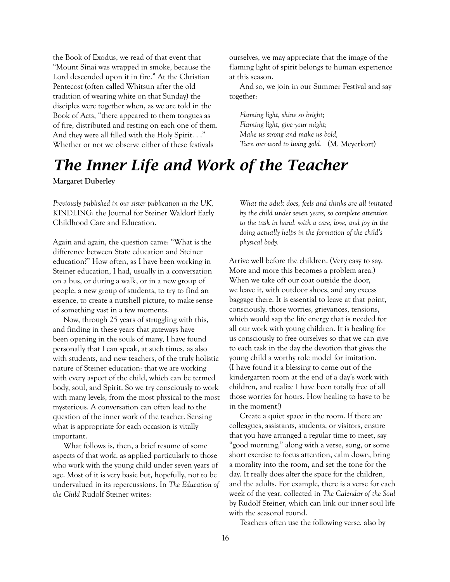the Book of Exodus, we read of that event that "Mount Sinai was wrapped in smoke, because the Lord descended upon it in fire." At the Christian Pentecost (often called Whitsun after the old tradition of wearing white on that Sunday) the disciples were together when, as we are told in the Book of Acts, "there appeared to them tongues as of fire, distributed and resting on each one of them. And they were all filled with the Holy Spirit. . ." Whether or not we observe either of these festivals

ourselves, we may appreciate that the image of the flaming light of spirit belongs to human experience at this season.

And so, we join in our Summer Festival and say together:

*Flaming light, shine so bright; Flaming light, give your might; Make us strong and make us bold, Turn our word to living gold.* (M. Meyerkort)

## *The Inner Life and Work of the Teacher*

### **Margaret Duberley**

*Previously published in our sister publication in the UK,*  KINDLING: the Journal for Steiner Waldorf Early Childhood Care and Education.

Again and again, the question came: "What is the difference between State education and Steiner education?" How often, as I have been working in Steiner education, I had, usually in a conversation on a bus, or during a walk, or in a new group of people, a new group of students, to try to find an essence, to create a nutshell picture, to make sense of something vast in a few moments.

Now, through 25 years of struggling with this, and finding in these years that gateways have been opening in the souls of many, I have found personally that I can speak, at such times, as also with students, and new teachers, of the truly holistic nature of Steiner education: that we are working with every aspect of the child, which can be termed body, soul, and Spirit. So we try consciously to work with many levels, from the most physical to the most mysterious. A conversation can often lead to the question of the inner work of the teacher. Sensing what is appropriate for each occasion is vitally important.

What follows is, then, a brief resume of some aspects of that work, as applied particularly to those who work with the young child under seven years of age. Most of it is very basic but, hopefully, not to be undervalued in its repercussions. In *The Education of the Child* Rudolf Steiner writes:

*What the adult does, feels and thinks are all imitated by the child under seven years, so complete attention to the task in hand, with a care, love, and joy in the doing actually helps in the formation of the child's physical body.* 

Arrive well before the children. (Very easy to say. More and more this becomes a problem area.) When we take off our coat outside the door, we leave it, with outdoor shoes, and any excess baggage there. It is essential to leave at that point, consciously, those worries, grievances, tensions, which would sap the life energy that is needed for all our work with young children. It is healing for us consciously to free ourselves so that we can give to each task in the day the devotion that gives the young child a worthy role model for imitation. (I have found it a blessing to come out of the kindergarten room at the end of a day's work with children, and realize I have been totally free of all those worries for hours. How healing to have to be in the moment!)

Create a quiet space in the room. If there are colleagues, assistants, students, or visitors, ensure that you have arranged a regular time to meet, say "good morning," along with a verse, song, or some short exercise to focus attention, calm down, bring a morality into the room, and set the tone for the day. It really does alter the space for the children, and the adults. For example, there is a verse for each week of the year, collected in *The Calendar of the Soul* by Rudolf Steiner, which can link our inner soul life with the seasonal round.

Teachers often use the following verse, also by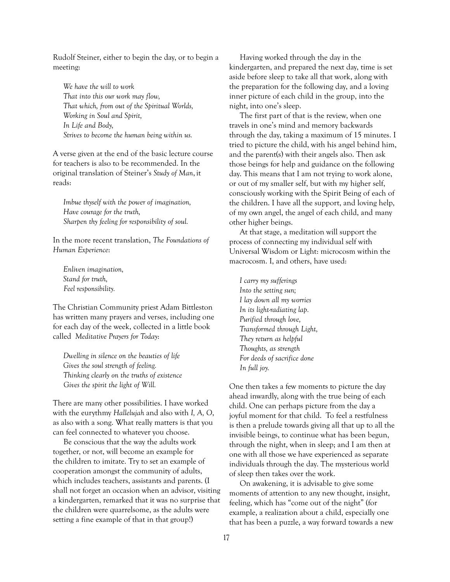Rudolf Steiner, either to begin the day, or to begin a meeting:

*We have the will to work That into this our work may flow, That which, from out of the Spiritual Worlds, Working in Soul and Spirit, In Life and Body, Strives to become the human being within us.*

A verse given at the end of the basic lecture course for teachers is also to be recommended. In the original translation of Steiner's *Study of Man*, it reads:

*Imbue thyself with the power of imagination, Have courage for the truth, Sharpen thy feeling for responsibility of soul.*

In the more recent translation, *The Foundations of Human Experience*:

*Enliven imagination, Stand for truth, Feel responsibility.*

The Christian Community priest Adam Bittleston has written many prayers and verses, including one for each day of the week, collected in a little book called *Meditative Prayers for Today*:

*Dwelling in silence on the beauties of life Gives the soul strength of feeling. Thinking clearly on the truths of existence Gives the spirit the light of Will.*

There are many other possibilities. I have worked with the eurythmy *Hallelujah* and also with *I, A, O*, as also with a song. What really matters is that you can feel connected to whatever you choose.

Be conscious that the way the adults work together, or not, will become an example for the children to imitate. Try to set an example of cooperation amongst the community of adults, which includes teachers, assistants and parents. (I shall not forget an occasion when an advisor, visiting a kindergarten, remarked that it was no surprise that the children were quarrelsome, as the adults were setting a fine example of that in that group!)

Having worked through the day in the kindergarten, and prepared the next day, time is set aside before sleep to take all that work, along with the preparation for the following day, and a loving inner picture of each child in the group, into the night, into one's sleep.

The first part of that is the review, when one travels in one's mind and memory backwards through the day, taking a maximum of 15 minutes. I tried to picture the child, with his angel behind him, and the parent(s) with their angels also. Then ask those beings for help and guidance on the following day. This means that I am not trying to work alone, or out of my smaller self, but with my higher self, consciously working with the Spirit Being of each of the children. I have all the support, and loving help, of my own angel, the angel of each child, and many other higher beings.

At that stage, a meditation will support the process of connecting my individual self with Universal Wisdom or Light: microcosm within the macrocosm. I, and others, have used:

*I carry my sufferings Into the setting sun; I lay down all my worries In its light-radiating lap. Purified through love, Transformed through Light, They return as helpful Thoughts, as strength For deeds of sacrifice done In full joy.*

One then takes a few moments to picture the day ahead inwardly, along with the true being of each child. One can perhaps picture from the day a joyful moment for that child. To feel a restfulness is then a prelude towards giving all that up to all the invisible beings, to continue what has been begun, through the night, when in sleep; and I am then at one with all those we have experienced as separate individuals through the day. The mysterious world of sleep then takes over the work.

On awakening, it is advisable to give some moments of attention to any new thought, insight, feeling, which has "come out of the night" (for example, a realization about a child, especially one that has been a puzzle, a way forward towards a new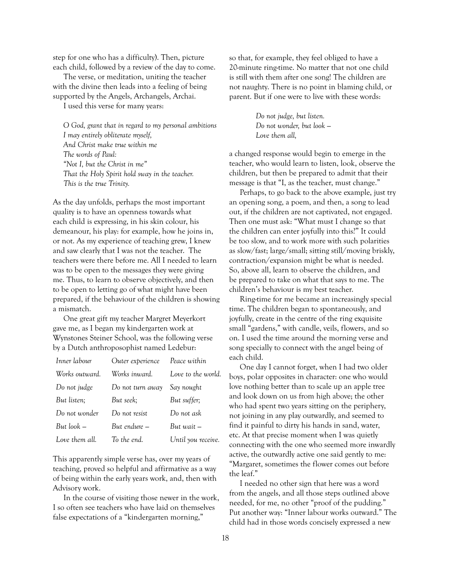step for one who has a difficulty). Then, picture each child, followed by a review of the day to come.

The verse, or meditation, uniting the teacher with the divine then leads into a feeling of being supported by the Angels, Archangels, Archai.

I used this verse for many years:

*O God, grant that in regard to my personal ambitions I may entirely obliterate myself, And Christ make true within me The words of Paul: "Not I, but the Christ in me" That the Holy Spirit hold sway in the teacher. This is the true Trinity.*

As the day unfolds, perhaps the most important quality is to have an openness towards what each child is expressing, in his skin colour, his demeanour, his play: for example, how he joins in, or not. As my experience of teaching grew, I knew and saw clearly that I was not the teacher. The teachers were there before me. All I needed to learn was to be open to the messages they were giving me. Thus, to learn to observe objectively, and then to be open to letting go of what might have been prepared, if the behaviour of the children is showing a mismatch.

One great gift my teacher Margret Meyerkort gave me, as I began my kindergarten work at Wynstones Steiner School, was the following verse by a Dutch anthroposophist named Ledebur:

| Inner labour   | Outer experience | Peace within       |
|----------------|------------------|--------------------|
| Works outward. | Works inward     | Love to the world. |
| Do not judge   | Do not turn away | Say nought         |
| But listen;    | But seek:        | But suffer;        |
| Do not wonder  | Do not resist    | Do not ask         |
| But look –     | But endure –     | But wait $-$       |
| Love them all. | To the end       | Until you receive. |

This apparently simple verse has, over my years of teaching, proved so helpful and affirmative as a way of being within the early years work, and, then with Advisory work.

In the course of visiting those newer in the work, I so often see teachers who have laid on themselves false expectations of a "kindergarten morning,"

so that, for example, they feel obliged to have a 20-minute ring-time. No matter that not one child is still with them after one song! The children are not naughty. There is no point in blaming child, or parent. But if one were to live with these words:

> *Do not judge, but listen. Do not wonder, but look — Love them all,*

a changed response would begin to emerge in the teacher, who would learn to listen, look, observe the children, but then be prepared to admit that their message is that "I, as the teacher, must change."

Perhaps, to go back to the above example, just try an opening song, a poem, and then, a song to lead out, if the children are not captivated, not engaged. Then one must ask: "What must I change so that the children can enter joyfully into this?" It could be too slow, and to work more with such polarities as slow/fast; large/small; sitting still/moving briskly, contraction/expansion might be what is needed. So, above all, learn to observe the children, and be prepared to take on what that says to me. The children's behaviour is my best teacher.

Ring-time for me became an increasingly special time. The children began to spontaneously, and joyfully, create in the centre of the ring exquisite small "gardens," with candle, veils, flowers, and so on. I used the time around the morning verse and song specially to connect with the angel being of each child.

One day I cannot forget, when I had two older boys, polar opposites in character: one who would love nothing better than to scale up an apple tree and look down on us from high above; the other who had spent two years sitting on the periphery, not joining in any play outwardly, and seemed to find it painful to dirty his hands in sand, water, etc. At that precise moment when I was quietly connecting with the one who seemed more inwardly active, the outwardly active one said gently to me: "Margaret, sometimes the flower comes out before the leaf."

I needed no other sign that here was a word from the angels, and all those steps outlined above needed, for me, no other "proof of the pudding." Put another way: "Inner labour works outward." The child had in those words concisely expressed a new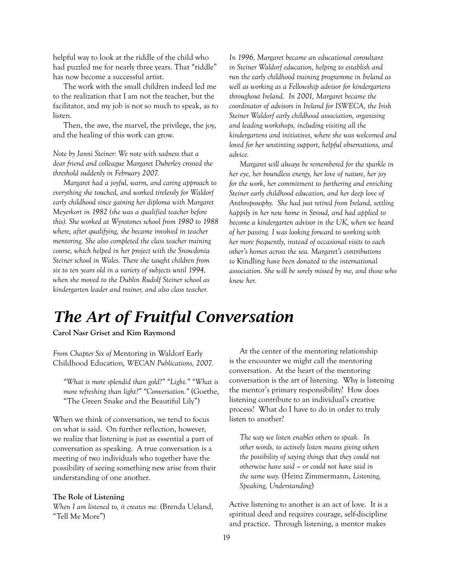helpful way to look at the riddle of the child who had puzzled me for nearly three years. That "riddle" has now become a successful artist.

The work with the small children indeed led me to the realization that I am not the teacher, but the facilitator, and my job is not so much to speak, as to listen.

Then, the awe, the marvel, the privilege, the joy, and the healing of this work can grow.

*Note by Janni Steiner: We note with sadness that a dear friend and colleague Margaret Duberley crossed the threshold suddenly in February 2007.* 

*Margaret had a joyful, warm, and caring approach to everything she touched, and worked tirelessly for Waldorf early childhood since gaining her diploma with Margaret Meyerkort in 1982 (she was a qualified teacher before this). She worked at Wynstones school from 1980 to 1988 where, after qualifying, she became involved in teacher mentoring. She also completed the class teacher training course, which helped in her project with the Snowdonia Steiner school in Wales. There she taught children from six to ten years old in a variety of subjects until 1994, when she moved to the Dublin Rudolf Steiner school as kindergarten leader and trainer, and also class teacher.* 

*In 1996, Margaret became an educational consultant in Steiner Waldorf education, helping to establish and run the early childhood training programme in Ireland as well as working as a Fellowship advisor for kindergartens throughout Ireland. In 2001, Margaret became the coordinator of advisors in Ireland for ISWECA, the Irish Steiner Waldorf early childhood association, organising and leading workshops, including visiting all the kindergartens and initiatives, where she was welcomed and loved for her unstinting support, helpful observations, and advice.*

*Margaret will always be remembered for the sparkle in her eye, her boundless energy, her love of nature, her joy for the work, her commitment to furthering and enriching Steiner early childhood education, and her deep love of Anthroposophy. She had just retired from Ireland, settling happily in her new home in Stroud, and had applied to become a kindergarten advisor in the UK, when we heard of her passing. I was looking forward to working with her more frequently, instead of occasional visits to each other's homes across the sea. Margaret's contributions to* Kindling *have been donated to the international association. She will be sorely missed by me, and those who knew her.* 

## *The Art of Fruitful Conversation*

**Carol Nasr Griset and Kim Raymond**

*From Chapter Six of* Mentoring in Waldorf Early Childhood Education*, WECAN Publications, 2007.*

*"What is more splendid than gold?" "Light." "What is more refreshing than light?" "Conversation."* (Goethe, "The Green Snake and the Beautiful Lily")

When we think of conversation, we tend to focus on what is said. On further reflection, however, we realize that listening is just as essential a part of conversation as speaking. A true conversation is a meeting of two individuals who together have the possibility of seeing something new arise from their understanding of one another.

### **The Role of Listening**

*When I am listened to, it creates me.* (Brenda Ueland, "Tell Me More")

At the center of the mentoring relationship is the encounter we might call the mentoring conversation. At the heart of the mentoring conversation is the art of listening. Why is listening the mentor's primary responsibility? How does listening contribute to an individual's creative process? What do I have to do in order to truly listen to another?

*The way we listen enables others to speak. In other words, to actively listen means giving others the possibility of saying things that they could not otherwise have said – or could not have said in the same way.* (Heinz Zimmermann, *Listening, Speaking, Understanding*)

Active listening to another is an act of love. It is a spiritual deed and requires courage, self-discipline and practice. Through listening, a mentor makes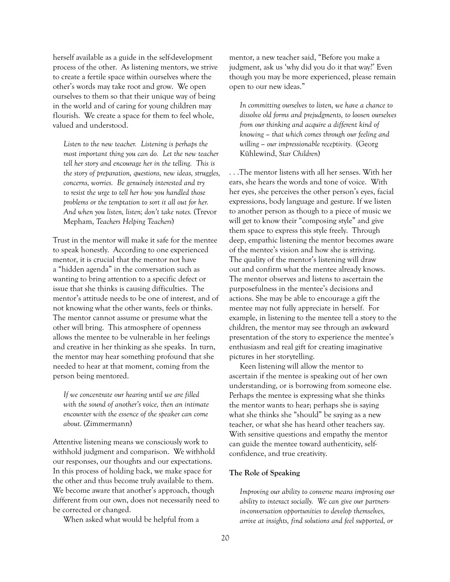herself available as a guide in the self-development process of the other. As listening mentors, we strive to create a fertile space within ourselves where the other's words may take root and grow. We open ourselves to them so that their unique way of being in the world and of caring for young children may flourish. We create a space for them to feel whole, valued and understood.

*Listen to the new teacher. Listening is perhaps the most important thing you can do. Let the new teacher tell her story and encourage her in the telling. This is the story of preparation, questions, new ideas, struggles, concerns, worries. Be genuinely interested and try to resist the urge to tell her how you handled those problems or the temptation to sort it all out for her. And when you listen, listen; don't take notes.* (Trevor Mepham, *Teachers Helping Teachers*)

Trust in the mentor will make it safe for the mentee to speak honestly. According to one experienced mentor, it is crucial that the mentor not have a "hidden agenda" in the conversation such as wanting to bring attention to a specific defect or issue that she thinks is causing difficulties. The mentor's attitude needs to be one of interest, and of not knowing what the other wants, feels or thinks. The mentor cannot assume or presume what the other will bring. This atmosphere of openness allows the mentee to be vulnerable in her feelings and creative in her thinking as she speaks. In turn, the mentor may hear something profound that she needed to hear at that moment, coming from the person being mentored.

*If we concentrate our hearing until we are filled with the sound of another's voice, then an intimate encounter with the essence of the speaker can come about.* (Zimmermann)

Attentive listening means we consciously work to withhold judgment and comparison. We withhold our responses, our thoughts and our expectations. In this process of holding back, we make space for the other and thus become truly available to them. We become aware that another's approach, though different from our own, does not necessarily need to be corrected or changed.

When asked what would be helpful from a

mentor, a new teacher said, "Before you make a judgment, ask us 'why did you do it that way?' Even though you may be more experienced, please remain open to our new ideas."

*In committing ourselves to listen, we have a chance to dissolve old forms and prejudgments, to loosen ourselves from our thinking and acquire a different kind of knowing – that which comes through our feeling and willing – our impressionable receptivity.* (Georg Kühlewind, *Star Children*)

. . .The mentor listens with all her senses. With her ears, she hears the words and tone of voice. With her eyes, she perceives the other person's eyes, facial expressions, body language and gesture. If we listen to another person as though to a piece of music we will get to know their "composing style" and give them space to express this style freely. Through deep, empathic listening the mentor becomes aware of the mentee's vision and how she is striving. The quality of the mentor's listening will draw out and confirm what the mentee already knows. The mentor observes and listens to ascertain the purposefulness in the mentee's decisions and actions. She may be able to encourage a gift the mentee may not fully appreciate in herself. For example, in listening to the mentee tell a story to the children, the mentor may see through an awkward presentation of the story to experience the mentee's enthusiasm and real gift for creating imaginative pictures in her storytelling.

Keen listening will allow the mentor to ascertain if the mentee is speaking out of her own understanding, or is borrowing from someone else. Perhaps the mentee is expressing what she thinks the mentor wants to hear; perhaps she is saying what she thinks she "should" be saying as a new teacher, or what she has heard other teachers say. With sensitive questions and empathy the mentor can guide the mentee toward authenticity, selfconfidence, and true creativity.

#### **The Role of Speaking**

*Improving our ability to converse means improving our ability to interact socially. We can give our partnersin-conversation opportunities to develop themselves, arrive at insights, find solutions and feel supported, or*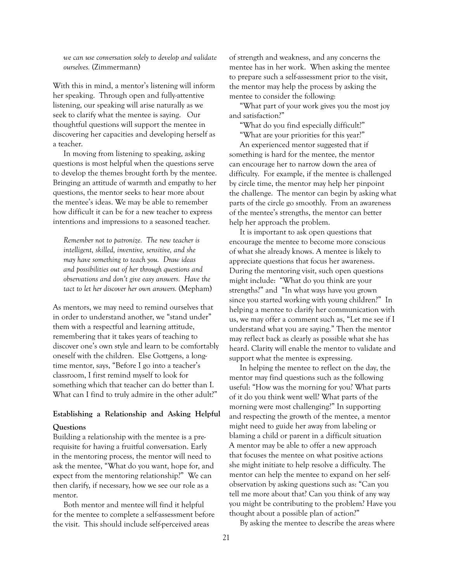*we can use conversation solely to develop and validate ourselves.* (Zimmermann)

With this in mind, a mentor's listening will inform her speaking. Through open and fully-attentive listening, our speaking will arise naturally as we seek to clarify what the mentee is saying. Our thoughtful questions will support the mentee in discovering her capacities and developing herself as a teacher.

In moving from listening to speaking, asking questions is most helpful when the questions serve to develop the themes brought forth by the mentee. Bringing an attitude of warmth and empathy to her questions, the mentor seeks to hear more about the mentee's ideas. We may be able to remember how difficult it can be for a new teacher to express intentions and impressions to a seasoned teacher.

*Remember not to patronize. The new teacher is intelligent, skilled, inventive, sensitive, and she may have something to teach you. Draw ideas and possibilities out of her through questions and observations and don't give easy answers. Have the tact to let her discover her own answers.* (Mepham)

As mentors, we may need to remind ourselves that in order to understand another, we "stand under" them with a respectful and learning attitude, remembering that it takes years of teaching to discover one's own style and learn to be comfortably oneself with the children. Else Gottgens, a longtime mentor, says, "Before I go into a teacher's classroom, I first remind myself to look for something which that teacher can do better than I. What can I find to truly admire in the other adult?"

### **Establishing a Relationship and Asking Helpful Questions**

Building a relationship with the mentee is a prerequisite for having a fruitful conversation. Early in the mentoring process, the mentor will need to ask the mentee, "What do you want, hope for, and expect from the mentoring relationship?" We can then clarify, if necessary, how we see our role as a mentor.

Both mentor and mentee will find it helpful for the mentee to complete a self-assessment before the visit. This should include self-perceived areas

of strength and weakness, and any concerns the mentee has in her work. When asking the mentee to prepare such a self-assessment prior to the visit, the mentor may help the process by asking the mentee to consider the following:

"What part of your work gives you the most joy and satisfaction?"

"What do you find especially difficult?"

"What are your priorities for this year?"

An experienced mentor suggested that if something is hard for the mentee, the mentor can encourage her to narrow down the area of difficulty. For example, if the mentee is challenged by circle time, the mentor may help her pinpoint the challenge. The mentor can begin by asking what parts of the circle go smoothly. From an awareness of the mentee's strengths, the mentor can better help her approach the problem.

It is important to ask open questions that encourage the mentee to become more conscious of what she already knows. A mentee is likely to appreciate questions that focus her awareness. During the mentoring visit, such open questions might include: "What do you think are your strengths?" and "In what ways have you grown since you started working with young children?" In helping a mentee to clarify her communication with us, we may offer a comment such as, "Let me see if I understand what you are saying." Then the mentor may reflect back as clearly as possible what she has heard. Clarity will enable the mentor to validate and support what the mentee is expressing.

In helping the mentee to reflect on the day, the mentor may find questions such as the following useful: "How was the morning for you? What parts of it do you think went well? What parts of the morning were most challenging?" In supporting and respecting the growth of the mentee, a mentor might need to guide her away from labeling or blaming a child or parent in a difficult situation A mentor may be able to offer a new approach that focuses the mentee on what positive actions she might initiate to help resolve a difficulty. The mentor can help the mentee to expand on her selfobservation by asking questions such as: "Can you tell me more about that? Can you think of any way you might be contributing to the problem? Have you thought about a possible plan of action?"

By asking the mentee to describe the areas where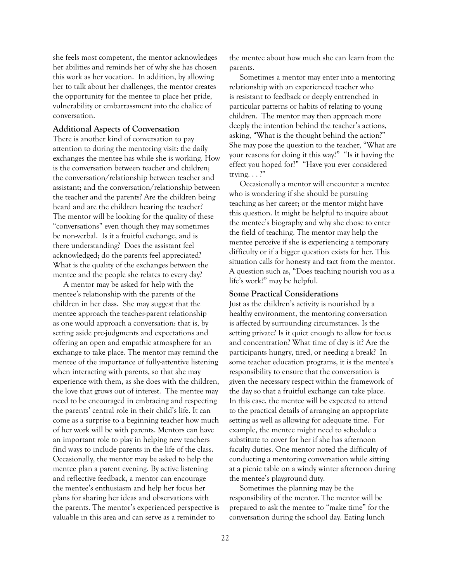she feels most competent, the mentor acknowledges her abilities and reminds her of why she has chosen this work as her vocation. In addition, by allowing her to talk about her challenges, the mentor creates the opportunity for the mentee to place her pride, vulnerability or embarrassment into the chalice of conversation.

### **Additional Aspects of Conversation**

There is another kind of conversation to pay attention to during the mentoring visit: the daily exchanges the mentee has while she is working. How is the conversation between teacher and children; the conversation/relationship between teacher and assistant; and the conversation/relationship between the teacher and the parents? Are the children being heard and are the children hearing the teacher? The mentor will be looking for the quality of these "conversations" even though they may sometimes be non-verbal. Is it a fruitful exchange, and is there understanding? Does the assistant feel acknowledged; do the parents feel appreciated? What is the quality of the exchanges between the mentee and the people she relates to every day?

A mentor may be asked for help with the mentee's relationship with the parents of the children in her class. She may suggest that the mentee approach the teacher-parent relationship as one would approach a conversation: that is, by setting aside pre-judgments and expectations and offering an open and empathic atmosphere for an exchange to take place. The mentor may remind the mentee of the importance of fully-attentive listening when interacting with parents, so that she may experience with them, as she does with the children, the love that grows out of interest. The mentee may need to be encouraged in embracing and respecting the parents' central role in their child's life. It can come as a surprise to a beginning teacher how much of her work will be with parents. Mentors can have an important role to play in helping new teachers find ways to include parents in the life of the class. Occasionally, the mentor may be asked to help the mentee plan a parent evening. By active listening and reflective feedback, a mentor can encourage the mentee's enthusiasm and help her focus her plans for sharing her ideas and observations with the parents. The mentor's experienced perspective is valuable in this area and can serve as a reminder to

the mentee about how much she can learn from the parents.

Sometimes a mentor may enter into a mentoring relationship with an experienced teacher who is resistant to feedback or deeply entrenched in particular patterns or habits of relating to young children. The mentor may then approach more deeply the intention behind the teacher's actions, asking, "What is the thought behind the action?" She may pose the question to the teacher, "What are your reasons for doing it this way?" "Is it having the effect you hoped for?" "Have you ever considered trying. . . ?"

Occasionally a mentor will encounter a mentee who is wondering if she should be pursuing teaching as her career; or the mentor might have this question. It might be helpful to inquire about the mentee's biography and why she chose to enter the field of teaching. The mentor may help the mentee perceive if she is experiencing a temporary difficulty or if a bigger question exists for her. This situation calls for honesty and tact from the mentor. A question such as, "Does teaching nourish you as a life's work?" may be helpful.

#### **Some Practical Considerations**

Just as the children's activity is nourished by a healthy environment, the mentoring conversation is affected by surrounding circumstances. Is the setting private? Is it quiet enough to allow for focus and concentration? What time of day is it? Are the participants hungry, tired, or needing a break? In some teacher education programs, it is the mentee's responsibility to ensure that the conversation is given the necessary respect within the framework of the day so that a fruitful exchange can take place. In this case, the mentee will be expected to attend to the practical details of arranging an appropriate setting as well as allowing for adequate time. For example, the mentee might need to schedule a substitute to cover for her if she has afternoon faculty duties. One mentor noted the difficulty of conducting a mentoring conversation while sitting at a picnic table on a windy winter afternoon during the mentee's playground duty.

Sometimes the planning may be the responsibility of the mentor. The mentor will be prepared to ask the mentee to "make time" for the conversation during the school day. Eating lunch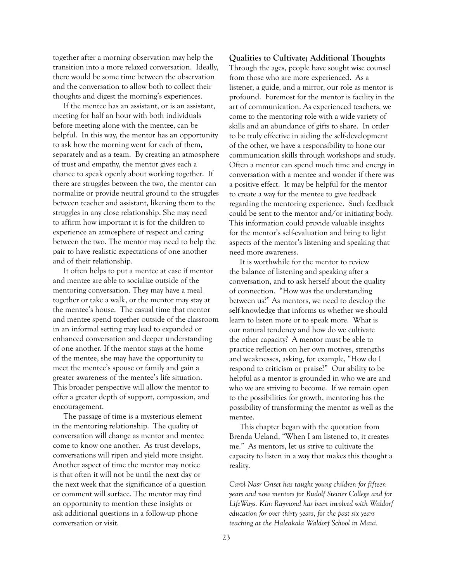together after a morning observation may help the transition into a more relaxed conversation. Ideally, there would be some time between the observation and the conversation to allow both to collect their thoughts and digest the morning's experiences.

If the mentee has an assistant, or is an assistant, meeting for half an hour with both individuals before meeting alone with the mentee, can be helpful. In this way, the mentor has an opportunity to ask how the morning went for each of them, separately and as a team. By creating an atmosphere of trust and empathy, the mentor gives each a chance to speak openly about working together. If there are struggles between the two, the mentor can normalize or provide neutral ground to the struggles between teacher and assistant, likening them to the struggles in any close relationship. She may need to affirm how important it is for the children to experience an atmosphere of respect and caring between the two. The mentor may need to help the pair to have realistic expectations of one another and of their relationship.

It often helps to put a mentee at ease if mentor and mentee are able to socialize outside of the mentoring conversation. They may have a meal together or take a walk, or the mentor may stay at the mentee's house. The casual time that mentor and mentee spend together outside of the classroom in an informal setting may lead to expanded or enhanced conversation and deeper understanding of one another. If the mentor stays at the home of the mentee, she may have the opportunity to meet the mentee's spouse or family and gain a greater awareness of the mentee's life situation. This broader perspective will allow the mentor to offer a greater depth of support, compassion, and encouragement.

The passage of time is a mysterious element in the mentoring relationship. The quality of conversation will change as mentor and mentee come to know one another. As trust develops, conversations will ripen and yield more insight. Another aspect of time the mentor may notice is that often it will not be until the next day or the next week that the significance of a question or comment will surface. The mentor may find an opportunity to mention these insights or ask additional questions in a follow-up phone conversation or visit.

#### **Qualities to Cultivate; Additional Thoughts**

Through the ages, people have sought wise counsel from those who are more experienced. As a listener, a guide, and a mirror, our role as mentor is profound. Foremost for the mentor is facility in the art of communication. As experienced teachers, we come to the mentoring role with a wide variety of skills and an abundance of gifts to share. In order to be truly effective in aiding the self-development of the other, we have a responsibility to hone our communication skills through workshops and study. Often a mentor can spend much time and energy in conversation with a mentee and wonder if there was a positive effect. It may be helpful for the mentor to create a way for the mentee to give feedback regarding the mentoring experience. Such feedback could be sent to the mentor and/or initiating body. This information could provide valuable insights for the mentor's self-evaluation and bring to light aspects of the mentor's listening and speaking that need more awareness.

It is worthwhile for the mentor to review the balance of listening and speaking after a conversation, and to ask herself about the quality of connection. "How was the understanding between us?" As mentors, we need to develop the self-knowledge that informs us whether we should learn to listen more or to speak more. What is our natural tendency and how do we cultivate the other capacity? A mentor must be able to practice reflection on her own motives, strengths and weaknesses, asking, for example, "How do I respond to criticism or praise?" Our ability to be helpful as a mentor is grounded in who we are and who we are striving to become. If we remain open to the possibilities for growth, mentoring has the possibility of transforming the mentor as well as the mentee.

This chapter began with the quotation from Brenda Ueland, "When I am listened to, it creates me." As mentors, let us strive to cultivate the capacity to listen in a way that makes this thought a reality.

*Carol Nasr Griset has taught young children for fifteen years and now mentors for Rudolf Steiner College and for LifeWays. Kim Raymond has been involved with Waldorf education for over thirty years, for the past six years teaching at the Haleakala Waldorf School in Maui.*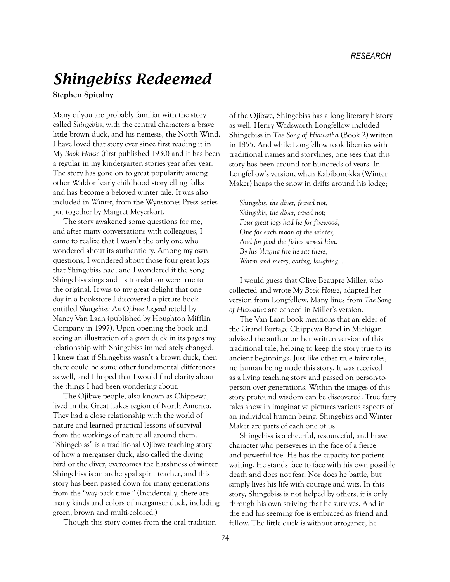## *Shingebiss Redeemed*

**Stephen Spitalny**

Many of you are probably familiar with the story called *Shingebiss*, with the central characters a brave little brown duck, and his nemesis, the North Wind. I have loved that story ever since first reading it in *My Book House* (first published 1930) and it has been a regular in my kindergarten stories year after year. The story has gone on to great popularity among other Waldorf early childhood storytelling folks and has become a beloved winter tale. It was also included in *Winter*, from the Wynstones Press series put together by Margret Meyerkort.

The story awakened some questions for me, and after many conversations with colleagues, I came to realize that I wasn't the only one who wondered about its authenticity. Among my own questions, I wondered about those four great logs that Shingebiss had, and I wondered if the song Shingebiss sings and its translation were true to the original. It was to my great delight that one day in a bookstore I discovered a picture book entitled *Shingebiss: An Ojibwe Legend* retold by Nancy Van Laan (published by Houghton Mifflin Company in 1997). Upon opening the book and seeing an illustration of a *green* duck in its pages my relationship with Shingebiss immediately changed. I knew that if Shingebiss wasn't a brown duck, then there could be some other fundamental differences as well, and I hoped that I would find clarity about the things I had been wondering about.

The Ojibwe people, also known as Chippewa, lived in the Great Lakes region of North America. They had a close relationship with the world of nature and learned practical lessons of survival from the workings of nature all around them. "Shingebiss" is a traditional Ojibwe teaching story of how a merganser duck, also called the diving bird or the diver, overcomes the harshness of winter Shingebiss is an archetypal spirit teacher, and this story has been passed down for many generations from the "way-back time." (Incidentally, there are many kinds and colors of merganser duck, including green, brown and multi-colored.)

Though this story comes from the oral tradition

of the Ojibwe, Shingebiss has a long literary history as well. Henry Wadsworth Longfellow included Shingebiss in *The Song of Hiawatha* (Book 2) written in 1855. And while Longfellow took liberties with traditional names and storylines, one sees that this story has been around for hundreds of years. In Longfellow's version, when Kabibonokka (Winter Maker) heaps the snow in drifts around his lodge;

*Shingebis, the diver, feared not, Shingebis, the diver, cared not; Four great logs had he for firewood, One for each moon of the winter, And for food the fishes served him. By his blazing fire he sat there, Warm and merry, eating, laughing. . .*

I would guess that Olive Beaupre Miller, who collected and wrote *My Book House*, adapted her version from Longfellow. Many lines from *The Song of Hiawatha* are echoed in Miller's version.

The Van Laan book mentions that an elder of the Grand Portage Chippewa Band in Michigan advised the author on her written version of this traditional tale, helping to keep the story true to its ancient beginnings. Just like other true fairy tales, no human being made this story. It was received as a living teaching story and passed on person-toperson over generations. Within the images of this story profound wisdom can be discovered. True fairy tales show in imaginative pictures various aspects of an individual human being. Shingebiss and Winter Maker are parts of each one of us.

Shingebiss is a cheerful, resourceful, and brave character who perseveres in the face of a fierce and powerful foe. He has the capacity for patient waiting. He stands face to face with his own possible death and does not fear. Nor does he battle, but simply lives his life with courage and wits. In this story, Shingebiss is not helped by others; it is only through his own striving that he survives. And in the end his seeming foe is embraced as friend and fellow. The little duck is without arrogance; he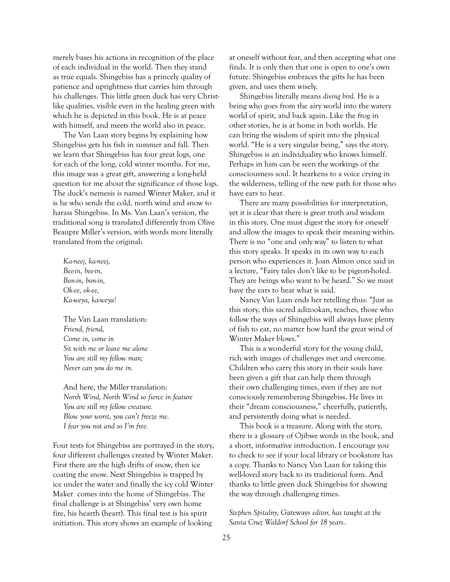merely bases his actions in recognition of the place of each individual in the world. Then they stand as true equals. Shingebiss has a princely quality of patience and uprightness that carries him through his challenges. This little green duck has very Christlike qualities, visible even in the healing green with which he is depicted in this book. He is at peace with himself, and meets the world also in peace.

The Van Laan story begins by explaining how Shingebiss gets his fish in summer and fall. Then we learn that Shingebiss has four great logs, one for each of the long, cold winter months. For me, this image was a great gift, answering a long-held question for me about the significance of those logs. The duck's nemesis is named Winter Maker, and it is he who sends the cold, north wind and snow to harass Shingebiss. In Ms. Van Laan's version, the traditional song is translated differently from Olive Beaupre Miller's version, with words more literally translated from the original:

*Ka-neej, ka-neej, Bee-in, bee-in, Bon-in, bon-in, Ok-ee, ok-ee, Ka-weya, ka-weya!*

The Van Laan translation: *Friend, friend, Come in, come in Sit with me or leave me alone You are still my fellow man; Never can you do me in.*

And here, the Miller translation: *North Wind, North Wind so fierce in feature You are still my fellow creature. Blow your worst, you can't freeze me. I fear you not and so I'm free.*

Four tests for Shingebiss are portrayed in the story, four different challenges created by Winter Maker. First there are the high drifts of snow, then ice coating the snow. Next Shingebiss is trapped by ice under the water and finally the icy cold Winter Maker comes into the home of Shingebiss. The final challenge is at Shingebiss' very own home fire, his hearth (heart). This final test is his spirit initiation. This story shows an example of looking

at oneself without fear, and then accepting what one finds. It is only then that one is open to one's own future. Shingebiss embraces the gifts he has been given, and uses them wisely.

Shingebiss literally means *diving bird.* He is a being who goes from the airy world into the watery world of spirit, and back again. Like the frog in other stories, he is at home in both worlds. He can bring the wisdom of spirit into the physical world. "He is a very singular being," says the story. Shingebiss is an individuality who knows himself. Perhaps in him can be seen the workings of the consciousness soul. It hearkens to a voice crying in the wilderness, telling of the new path for those who have ears to hear.

There are many possibilities for interpretation, yet it is clear that there is great truth and wisdom in this story. One must digest the story for oneself and allow the images to speak their meaning within. There is no "one and only way" to listen to what this story speaks. It speaks in its own way to each person who experiences it. Joan Almon once said in a lecture, "Fairy tales don't like to be pigeon-holed. They are beings who want to be heard." So we must have the ears to hear what is said.

Nancy Van Laan ends her retelling thus: "Just as this story, this sacred adizookan, teaches, those who follow the ways of Shingebiss will always have plenty of fish to eat, no matter how hard the great wind of Winter Maker blows."

This is a wonderful story for the young child, rich with images of challenges met and overcome. Children who carry this story in their souls have been given a gift that can help them through their own challenging times, even if they are not consciously remembering Shingebiss. He lives in their "dream consciousness," cheerfully, patiently, and persistently doing what is needed.

This book is a treasure. Along with the story, there is a glossary of Ojibwe words in the book, and a short, informative introduction. I encourage you to check to see if your local library or bookstore has a copy. Thanks to Nancy Van Laan for taking this well-loved story back to its traditional form. And thanks to little green duck Shingebiss for showing the way through challenging times.

*Stephen Spitalny,* Gateways *editor, has taught at the Santa Cruz Waldorf School for 18 years..*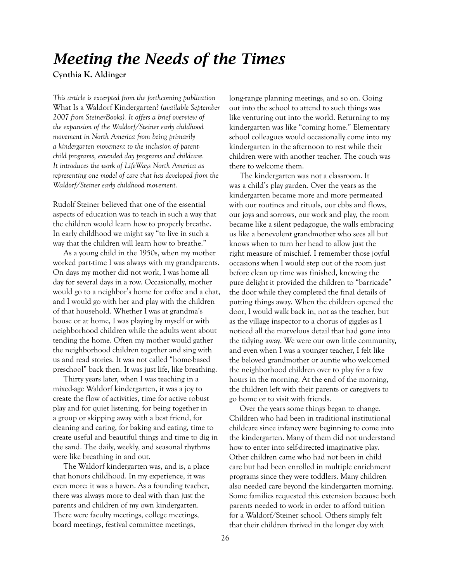### *Meeting the Needs of the Times*

**Cynthia K. Aldinger**

*This article is excerpted from the forthcoming publication*  What Is a Waldorf Kindergarten? *(available September 2007 from SteinerBooks). It offers a brief overview of the expansion of the Waldorf/Steiner early childhood movement in North America from being primarily a kindergarten movement to the inclusion of parentchild programs, extended day programs and childcare. It introduces the work of LifeWays North America as representing one model of care that has developed from the Waldorf/Steiner early childhood movement.*

Rudolf Steiner believed that one of the essential aspects of education was to teach in such a way that the children would learn how to properly breathe. In early childhood we might say "to live in such a way that the children will learn how to breathe."

As a young child in the 1950s, when my mother worked part-time I was always with my grandparents. On days my mother did not work, I was home all day for several days in a row. Occasionally, mother would go to a neighbor's home for coffee and a chat, and I would go with her and play with the children of that household. Whether I was at grandma's house or at home, I was playing by myself or with neighborhood children while the adults went about tending the home. Often my mother would gather the neighborhood children together and sing with us and read stories. It was not called "home-based preschool" back then. It was just life, like breathing.

Thirty years later, when I was teaching in a mixed-age Waldorf kindergarten, it was a joy to create the flow of activities, time for active robust play and for quiet listening, for being together in a group or skipping away with a best friend, for cleaning and caring, for baking and eating, time to create useful and beautiful things and time to dig in the sand. The daily, weekly, and seasonal rhythms were like breathing in and out.

The Waldorf kindergarten was, and is, a place that honors childhood. In my experience, it was even more: it was a haven. As a founding teacher, there was always more to deal with than just the parents and children of my own kindergarten. There were faculty meetings, college meetings, board meetings, festival committee meetings,

long-range planning meetings, and so on. Going out into the school to attend to such things was like venturing out into the world. Returning to my kindergarten was like "coming home." Elementary school colleagues would occasionally come into my kindergarten in the afternoon to rest while their children were with another teacher. The couch was there to welcome them.

The kindergarten was not a classroom. It was a child's play garden. Over the years as the kindergarten became more and more permeated with our routines and rituals, our ebbs and flows, our joys and sorrows, our work and play, the room became like a silent pedagogue, the walls embracing us like a benevolent grandmother who sees all but knows when to turn her head to allow just the right measure of mischief. I remember those joyful occasions when I would step out of the room just before clean up time was finished, knowing the pure delight it provided the children to "barricade" the door while they completed the final details of putting things away. When the children opened the door, I would walk back in, not as the teacher, but as the village inspector to a chorus of giggles as I noticed all the marvelous detail that had gone into the tidying away. We were our own little community, and even when I was a younger teacher, I felt like the beloved grandmother or auntie who welcomed the neighborhood children over to play for a few hours in the morning. At the end of the morning, the children left with their parents or caregivers to go home or to visit with friends.

Over the years some things began to change. Children who had been in traditional institutional childcare since infancy were beginning to come into the kindergarten. Many of them did not understand how to enter into self-directed imaginative play. Other children came who had not been in child care but had been enrolled in multiple enrichment programs since they were toddlers. Many children also needed care beyond the kindergarten morning. Some families requested this extension because both parents needed to work in order to afford tuition for a Waldorf/Steiner school. Others simply felt that their children thrived in the longer day with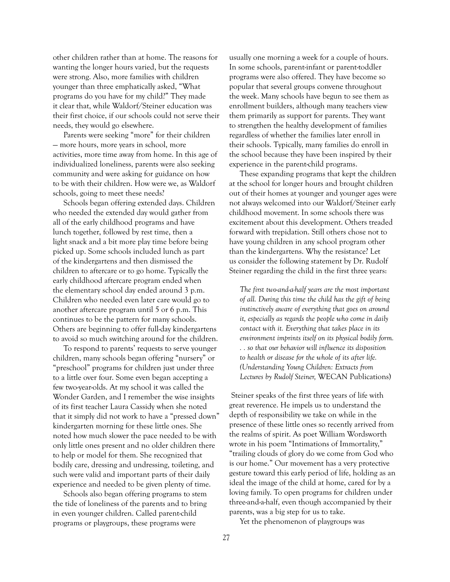other children rather than at home. The reasons for wanting the longer hours varied, but the requests were strong. Also, more families with children younger than three emphatically asked, "What programs do you have for my child?" They made it clear that, while Waldorf/Steiner education was their first choice, if our schools could not serve their needs, they would go elsewhere.

Parents were seeking "more" for their children — more hours, more years in school, more activities, more time away from home. In this age of individualized loneliness, parents were also seeking community and were asking for guidance on how to be with their children. How were we, as Waldorf schools, going to meet these needs?

Schools began offering extended days. Children who needed the extended day would gather from all of the early childhood programs and have lunch together, followed by rest time, then a light snack and a bit more play time before being picked up. Some schools included lunch as part of the kindergartens and then dismissed the children to aftercare or to go home. Typically the early childhood aftercare program ended when the elementary school day ended around 3 p.m. Children who needed even later care would go to another aftercare program until 5 or 6 p.m. This continues to be the pattern for many schools. Others are beginning to offer full-day kindergartens to avoid so much switching around for the children.

To respond to parents' requests to serve younger children, many schools began offering "nursery" or "preschool" programs for children just under three to a little over four. Some even began accepting a few two-year-olds. At my school it was called the Wonder Garden, and I remember the wise insights of its first teacher Laura Cassidy when she noted that it simply did not work to have a "pressed down" kindergarten morning for these little ones. She noted how much slower the pace needed to be with only little ones present and no older children there to help or model for them. She recognized that bodily care, dressing and undressing, toileting, and such were valid and important parts of their daily experience and needed to be given plenty of time.

Schools also began offering programs to stem the tide of loneliness of the parents and to bring in even younger children. Called parent-child programs or playgroups, these programs were

usually one morning a week for a couple of hours. In some schools, parent-infant or parent-toddler programs were also offered. They have become so popular that several groups convene throughout the week. Many schools have begun to see them as enrollment builders, although many teachers view them primarily as support for parents. They want to strengthen the healthy development of families regardless of whether the families later enroll in their schools. Typically, many families do enroll in the school because they have been inspired by their experience in the parent-child programs.

These expanding programs that kept the children at the school for longer hours and brought children out of their homes at younger and younger ages were not always welcomed into our Waldorf/Steiner early childhood movement. In some schools there was excitement about this development. Others treaded forward with trepidation. Still others chose not to have young children in any school program other than the kindergartens. Why the resistance? Let us consider the following statement by Dr. Rudolf Steiner regarding the child in the first three years:

*The first two-and-a-half years are the most important of all. During this time the child has the gift of being instinctively aware of everything that goes on around it, especially as regards the people who come in daily contact with it. Everything that takes place in its environment imprints itself on its physical bodily form. . . so that our behavior will influence its disposition to health or disease for the whole of its after life. (Understanding Young Children: Extracts from Lectures by Rudolf Steiner,* WECAN Publications)

 Steiner speaks of the first three years of life with great reverence. He impels us to understand the depth of responsibility we take on while in the presence of these little ones so recently arrived from the realms of spirit. As poet William Wordsworth wrote in his poem "Intimations of Immortality," "trailing clouds of glory do we come from God who is our home." Our movement has a very protective gesture toward this early period of life, holding as an ideal the image of the child at home, cared for by a loving family. To open programs for children under three-and-a-half, even though accompanied by their parents, was a big step for us to take.

Yet the phenomenon of playgroups was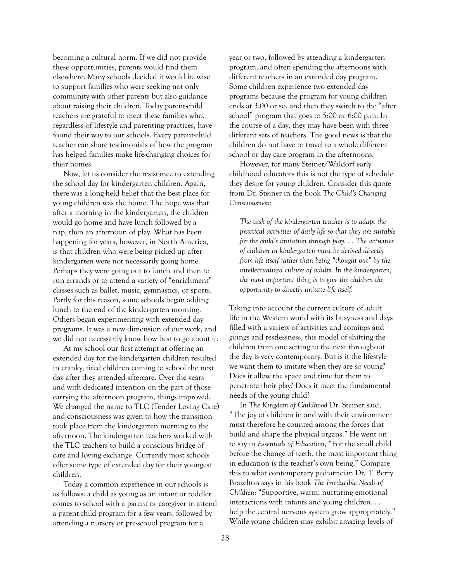becoming a cultural norm. If we did not provide these opportunities, parents would find them elsewhere. Many schools decided it would be wise to support families who were seeking not only community with other parents but also guidance about raising their children. Today parent-child teachers are grateful to meet these families who, regardless of lifestyle and parenting practices, have found their way to our schools. Every parent-child teacher can share testimonials of how the program has helped families make life-changing choices for their homes.

Now, let us consider the resistance to extending the school day for kindergarten children. Again, there was a long-held belief that the best place for young children was the home. The hope was that after a morning in the kindergarten, the children would go home and have lunch followed by a nap, then an afternoon of play. What has been happening for years, however, in North America, is that children who were being picked up after kindergarten were not necessarily going home. Perhaps they were going out to lunch and then to run errands or to attend a variety of "enrichment" classes such as ballet, music, gymnastics, or sports. Partly for this reason, some schools began adding lunch to the end of the kindergarten morning. Others began experimenting with extended day programs. It was a new dimension of our work, and we did not necessarily know how best to go about it.

At my school our first attempt at offering an extended day for the kindergarten children resulted in cranky, tired children coming to school the next day after they attended aftercare. Over the years and with dedicated intention on the part of those carrying the afternoon program, things improved. We changed the name to TLC (Tender Loving Care) and consciousness was given to how the transition took place from the kindergarten morning to the afternoon. The kindergarten teachers worked with the TLC teachers to build a conscious bridge of care and loving exchange. Currently most schools offer some type of extended day for their youngest children.

Today a common experience in our schools is as follows: a child as young as an infant or toddler comes to school with a parent or caregiver to attend a parent-child program for a few years, followed by attending a nursery or pre-school program for a

year or two, followed by attending a kindergarten program, and often spending the afternoons with different teachers in an extended day program. Some children experience two extended day programs because the program for young children ends at 3:00 or so, and then they switch to the "after school" program that goes to 5:00 or 6:00 p.m. In the course of a day, they may have been with three different sets of teachers. The good news is that the children do not have to travel to a whole different school or day care program in the afternoons.

However, for many Steiner/Waldorf early childhood educators this is not the type of schedule they desire for young children. Consider this quote from Dr. Steiner in the book *The Child's Changing Consciousness:*

*The task of the kindergarten teacher is to adapt the practical activities of daily life so that they are suitable for the child's imitation through play. . . The activities of children in kindergarten must be derived directly from life itself rather than being "thought out" by the intellectualized culture of adults. In the kindergarten, the most important thing is to give the children the opportunity to directly imitate life itself.*

Taking into account the current culture of adult life in the Western world with its busyness and days filled with a variety of activities and comings and goings and restlessness, this model of shifting the children from one setting to the next throughout the day is very contemporary. But is it the lifestyle we want them to imitate when they are so young? Does it allow the space and time for them to penetrate their play? Does it meet the fundamental needs of the young child?

In *The Kingdom of Childhood* Dr. Steiner said, "The joy of children in and with their environment must therefore be counted among the forces that build and shape the physical organs." He went on to say in *Essentials of Education*, "For the small child before the change of teeth, the most important thing in education is the teacher's own being." Compare this to what contemporary pediatrician Dr. T. Berry Brazelton says in his book *The Irreducible Needs of Children*: "Supportive, warm, nurturing emotional interactions with infants and young children. . . help the central nervous system grow appropriately." While young children may exhibit amazing levels of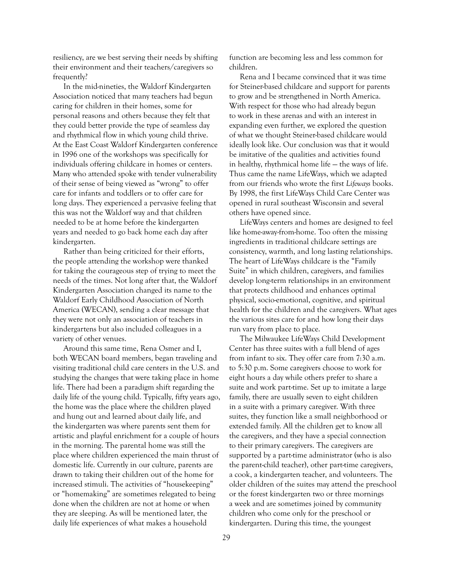resiliency, are we best serving their needs by shifting their environment and their teachers/caregivers so frequently?

In the mid-nineties, the Waldorf Kindergarten Association noticed that many teachers had begun caring for children in their homes, some for personal reasons and others because they felt that they could better provide the type of seamless day and rhythmical flow in which young child thrive. At the East Coast Waldorf Kindergarten conference in 1996 one of the workshops was specifically for individuals offering childcare in homes or centers. Many who attended spoke with tender vulnerability of their sense of being viewed as "wrong" to offer care for infants and toddlers or to offer care for long days. They experienced a pervasive feeling that this was not the Waldorf way and that children needed to be at home before the kindergarten years and needed to go back home each day after kindergarten.

Rather than being criticized for their efforts, the people attending the workshop were thanked for taking the courageous step of trying to meet the needs of the times. Not long after that, the Waldorf Kindergarten Association changed its name to the Waldorf Early Childhood Association of North America (WECAN), sending a clear message that they were not only an association of teachers in kindergartens but also included colleagues in a variety of other venues.

Around this same time, Rena Osmer and I, both WECAN board members, began traveling and visiting traditional child care centers in the U.S. and studying the changes that were taking place in home life. There had been a paradigm shift regarding the daily life of the young child. Typically, fifty years ago, the home was the place where the children played and hung out and learned about daily life, and the kindergarten was where parents sent them for artistic and playful enrichment for a couple of hours in the morning. The parental home was still the place where children experienced the main thrust of domestic life. Currently in our culture, parents are drawn to taking their children out of the home for increased stimuli. The activities of "housekeeping" or "homemaking" are sometimes relegated to being done when the children are not at home or when they are sleeping. As will be mentioned later, the daily life experiences of what makes a household

function are becoming less and less common for children.

Rena and I became convinced that it was time for Steiner-based childcare and support for parents to grow and be strengthened in North America. With respect for those who had already begun to work in these arenas and with an interest in expanding even further, we explored the question of what we thought Steiner-based childcare would ideally look like. Our conclusion was that it would be imitative of the qualities and activities found in healthy, rhythmical home life — the ways of life. Thus came the name LifeWays, which we adapted from our friends who wrote the first *Lifeways* books. By 1998, the first LifeWays Child Care Center was opened in rural southeast Wisconsin and several others have opened since.

LifeWays centers and homes are designed to feel like home-away-from-home. Too often the missing ingredients in traditional childcare settings are consistency, warmth, and long lasting relationships. The heart of LifeWays childcare is the "Family Suite" in which children, caregivers, and families develop long-term relationships in an environment that protects childhood and enhances optimal physical, socio-emotional, cognitive, and spiritual health for the children and the caregivers. What ages the various sites care for and how long their days run vary from place to place.

The Milwaukee LifeWays Child Development Center has three suites with a full blend of ages from infant to six. They offer care from 7:30 a.m. to 5:30 p.m. Some caregivers choose to work for eight hours a day while others prefer to share a suite and work part-time. Set up to imitate a large family, there are usually seven to eight children in a suite with a primary caregiver. With three suites, they function like a small neighborhood or extended family. All the children get to know all the caregivers, and they have a special connection to their primary caregivers. The caregivers are supported by a part-time administrator (who is also the parent-child teacher), other part-time caregivers, a cook, a kindergarten teacher, and volunteers. The older children of the suites may attend the preschool or the forest kindergarten two or three mornings a week and are sometimes joined by community children who come only for the preschool or kindergarten. During this time, the youngest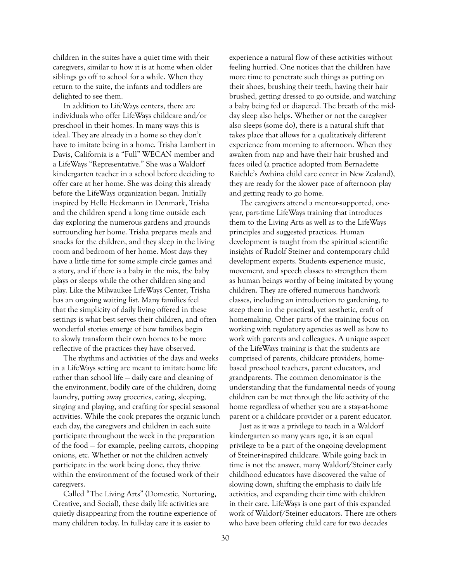children in the suites have a quiet time with their caregivers, similar to how it is at home when older siblings go off to school for a while. When they return to the suite, the infants and toddlers are delighted to see them.

In addition to LifeWays centers, there are individuals who offer LifeWays childcare and/or preschool in their homes. In many ways this is ideal. They are already in a home so they don't have to imitate being in a home. Trisha Lambert in Davis, California is a "Full" WECAN member and a LifeWays "Representative." She was a Waldorf kindergarten teacher in a school before deciding to offer care at her home. She was doing this already before the LifeWays organization began. Initially inspired by Helle Heckmann in Denmark, Trisha and the children spend a long time outside each day exploring the numerous gardens and grounds surrounding her home. Trisha prepares meals and snacks for the children, and they sleep in the living room and bedroom of her home. Most days they have a little time for some simple circle games and a story, and if there is a baby in the mix, the baby plays or sleeps while the other children sing and play. Like the Milwaukee LifeWays Center, Trisha has an ongoing waiting list. Many families feel that the simplicity of daily living offered in these settings is what best serves their children, and often wonderful stories emerge of how families begin to slowly transform their own homes to be more reflective of the practices they have observed.

The rhythms and activities of the days and weeks in a LifeWays setting are meant to imitate home life rather than school life — daily care and cleaning of the environment, bodily care of the children, doing laundry, putting away groceries, eating, sleeping, singing and playing, and crafting for special seasonal activities. While the cook prepares the organic lunch each day, the caregivers and children in each suite participate throughout the week in the preparation of the food — for example, peeling carrots, chopping onions, etc. Whether or not the children actively participate in the work being done, they thrive within the environment of the focused work of their caregivers.

Called "The Living Arts" (Domestic, Nurturing, Creative, and Social), these daily life activities are quietly disappearing from the routine experience of many children today. In full-day care it is easier to

experience a natural flow of these activities without feeling hurried. One notices that the children have more time to penetrate such things as putting on their shoes, brushing their teeth, having their hair brushed, getting dressed to go outside, and watching a baby being fed or diapered. The breath of the midday sleep also helps. Whether or not the caregiver also sleeps (some do), there is a natural shift that takes place that allows for a qualitatively different experience from morning to afternoon. When they awaken from nap and have their hair brushed and faces oiled (a practice adopted from Bernadette Raichle's Awhina child care center in New Zealand), they are ready for the slower pace of afternoon play and getting ready to go home.

The caregivers attend a mentor-supported, oneyear, part-time LifeWays training that introduces them to the Living Arts as well as to the LifeWays principles and suggested practices. Human development is taught from the spiritual scientific insights of Rudolf Steiner and contemporary child development experts. Students experience music, movement, and speech classes to strengthen them as human beings worthy of being imitated by young children. They are offered numerous handwork classes, including an introduction to gardening, to steep them in the practical, yet aesthetic, craft of homemaking. Other parts of the training focus on working with regulatory agencies as well as how to work with parents and colleagues. A unique aspect of the LifeWays training is that the students are comprised of parents, childcare providers, homebased preschool teachers, parent educators, and grandparents. The common denominator is the understanding that the fundamental needs of young children can be met through the life activity of the home regardless of whether you are a stay-at-home parent or a childcare provider or a parent educator.

Just as it was a privilege to teach in a Waldorf kindergarten so many years ago, it is an equal privilege to be a part of the ongoing development of Steiner-inspired childcare. While going back in time is not the answer, many Waldorf/Steiner early childhood educators have discovered the value of slowing down, shifting the emphasis to daily life activities, and expanding their time with children in their care. LifeWays is one part of this expanded work of Waldorf/Steiner educators. There are others who have been offering child care for two decades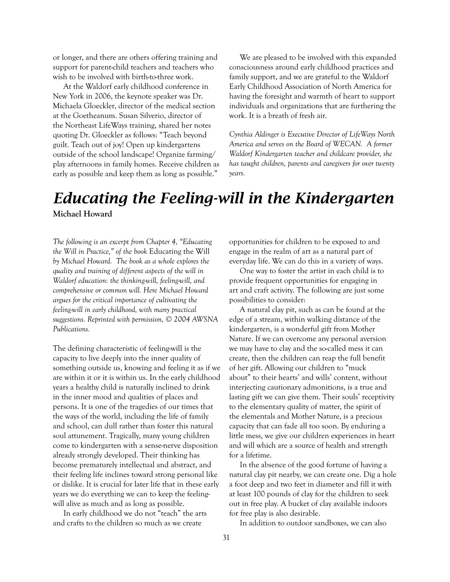or longer, and there are others offering training and support for parent-child teachers and teachers who wish to be involved with birth-to-three work.

At the Waldorf early childhood conference in New York in 2006, the keynote speaker was Dr. Michaela Gloeckler, director of the medical section at the Goetheanum. Susan Silverio, director of the Northeast LifeWays training, shared her notes quoting Dr. Gloeckler as follows: "Teach beyond guilt. Teach out of joy! Open up kindergartens outside of the school landscape! Organize farming/ play afternoons in family homes. Receive children as early as possible and keep them as long as possible."

We are pleased to be involved with this expanded consciousness around early childhood practices and family support, and we are grateful to the Waldorf Early Childhood Association of North America for having the foresight and warmth of heart to support individuals and organizations that are furthering the work. It is a breath of fresh air.

*Cynthia Aldinger is Executive Director of LifeWays North America and serves on the Board of WECAN. A former Waldorf Kindergarten teacher and childcare provider, she has taught children, parents and caregivers for over twenty years.*

# *Educating the Feeling-will in the Kindergarten*

**Michael Howard**

*The following is an excerpt from Chapter 4, "Educating the Will in Practice," of the book* Educating the Will *by Michael Howard. The book as a whole explores the quality and training of different aspects of the will in Waldorf education: the thinking-will, feeling-will, and comprehensive or common will. Here Michael Howard argues for the critical importance of cultivating the feeling-will in early childhood, with many practical suggestions. Reprinted with permission, © 2004 AWSNA Publications.*

The defining characteristic of feeling-will is the capacity to live deeply into the inner quality of something outside us, knowing and feeling it as if we are within it or it is within us. In the early childhood years a healthy child is naturally inclined to drink in the inner mood and qualities of places and persons. It is one of the tragedies of our times that the ways of the world, including the life of family and school, can dull rather than foster this natural soul attunement. Tragically, many young children come to kindergarten with a sense-nerve disposition already strongly developed. Their thinking has become prematurely intellectual and abstract, and their feeling life inclines toward strong personal like or dislike. It is crucial for later life that in these early years we do everything we can to keep the feelingwill alive as much and as long as possible.

In early childhood we do not "teach" the arts and crafts to the children so much as we create

opportunities for children to be exposed to and engage in the realm of art as a natural part of everyday life. We can do this in a variety of ways.

One way to foster the artist in each child is to provide frequent opportunities for engaging in art and craft activity. The following are just some possibilities to consider:

A natural clay pit, such as can be found at the edge of a stream, within walking distance of the kindergarten, is a wonderful gift from Mother Nature. If we can overcome any personal aversion we may have to clay and the so-called mess it can create, then the children can reap the full benefit of her gift. Allowing our children to "muck about" to their hearts' and wills' content, without interjecting cautionary admonitions, is a true and lasting gift we can give them. Their souls' receptivity to the elementary quality of matter, the spirit of the elementals and Mother Nature, is a precious capacity that can fade all too soon. By enduring a little mess, we give our children experiences in heart and will which are a source of health and strength for a lifetime.

In the absence of the good fortune of having a natural clay pit nearby, we can create one. Dig a hole a foot deep and two feet in diameter and fill it with at least 100 pounds of clay for the children to seek out in free play. A bucket of clay available indoors for free play is also desirable.

In addition to outdoor sandboxes, we can also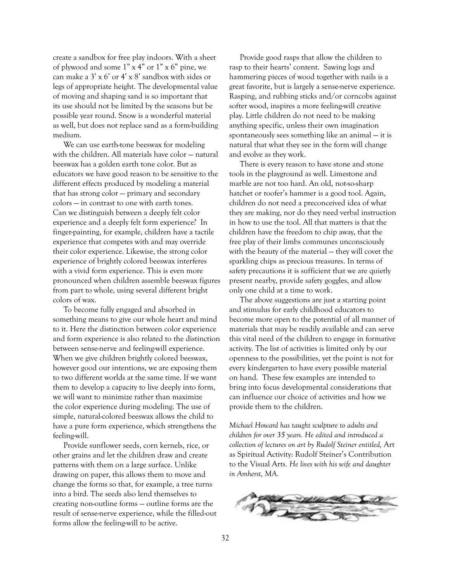create a sandbox for free play indoors. With a sheet of plywood and some  $1$ " x  $4$ " or  $1$ " x  $6$ " pine, we can make a 3' x 6' or 4' x 8' sandbox with sides or legs of appropriate height. The developmental value of moving and shaping sand is so important that its use should not be limited by the seasons but be possible year round. Snow is a wonderful material as well, but does not replace sand as a form-building medium.

We can use earth-tone beeswax for modeling with the children. All materials have color — natural beeswax has a golden earth tone color. But as educators we have good reason to be sensitive to the different effects produced by modeling a material that has strong color — primary and secondary colors — in contrast to one with earth tones. Can we distinguish between a deeply felt color experience and a deeply felt form experience? In finger-painting, for example, children have a tactile experience that competes with and may override their color experience. Likewise, the strong color experience of brightly colored beeswax interferes with a vivid form experience. This is even more pronounced when children assemble beeswax figures from part to whole, using several different bright colors of wax.

To become fully engaged and absorbed in something means to give our whole heart and mind to it. Here the distinction between color experience and form experience is also related to the distinction between sense-nerve and feeling-will experience. When we give children brightly colored beeswax, however good our intentions, we are exposing them to two different worlds at the same time. If we want them to develop a capacity to live deeply into form, we will want to minimize rather than maximize the color experience during modeling. The use of simple, natural-colored beeswax allows the child to have a pure form experience, which strengthens the feeling-will.

Provide sunflower seeds, corn kernels, rice, or other grains and let the children draw and create patterns with them on a large surface. Unlike drawing on paper, this allows them to move and change the forms so that, for example, a tree turns into a bird. The seeds also lend themselves to creating non-outline forms — outline forms are the result of sense-nerve experience, while the filled-out forms allow the feeling-will to be active.

Provide good rasps that allow the children to rasp to their hearts' content. Sawing logs and hammering pieces of wood together with nails is a great favorite, but is largely a sense-nerve experience. Rasping, and rubbing sticks and/or corncobs against softer wood, inspires a more feeling-will creative play. Little children do not need to be making anything specific, unless their own imagination spontaneously sees something like an animal — it is natural that what they see in the form will change and evolve as they work.

There is every reason to have stone and stone tools in the playground as well. Limestone and marble are not too hard. An old, not-so-sharp hatchet or roofer's hammer is a good tool. Again, children do not need a preconceived idea of what they are making, nor do they need verbal instruction in how to use the tool. All that matters is that the children have the freedom to chip away, that the free play of their limbs communes unconsciously with the beauty of the material — they will covet the sparkling chips as precious treasures. In terms of safety precautions it is sufficient that we are quietly present nearby, provide safety goggles, and allow only one child at a time to work.

The above suggestions are just a starting point and stimulus for early childhood educators to become more open to the potential of all manner of materials that may be readily available and can serve this vital need of the children to engage in formative activity. The list of activities is limited only by our openness to the possibilities, yet the point is not for every kindergarten to have every possible material on hand. These few examples are intended to bring into focus developmental considerations that can influence our choice of activities and how we provide them to the children.

*Michael Howard has taught sculpture to adults and children for over 35 years. He edited and introduced a collection of lectures on art by Rudolf Steiner entitled,* Art as Spiritual Activity: Rudolf Steiner's Contribution to the Visual Arts*. He lives with his wife and daughter in Amherst, MA.*

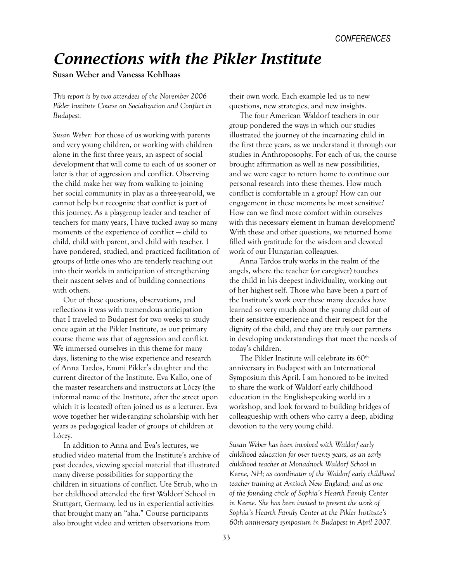### *Connections with the Pikler Institute*

### **Susan Weber and Vanessa Kohlhaas**

*This report is by two attendees of the November 2006 Pikler Institute Course on Socialization and Conflict in Budapest.*

*Susan Weber:* For those of us working with parents and very young children, or working with children alone in the first three years, an aspect of social development that will come to each of us sooner or later is that of aggression and conflict. Observing the child make her way from walking to joining her social community in play as a three-year-old, we cannot help but recognize that conflict is part of this journey. As a playgroup leader and teacher of teachers for many years, I have tucked away so many moments of the experience of conflict — child to child, child with parent, and child with teacher. I have pondered, studied, and practiced facilitation of groups of little ones who are tenderly reaching out into their worlds in anticipation of strengthening their nascent selves and of building connections with others.

Out of these questions, observations, and reflections it was with tremendous anticipation that I traveled to Budapest for two weeks to study once again at the Pikler Institute, as our primary course theme was that of aggression and conflict. We immersed ourselves in this theme for many days, listening to the wise experience and research of Anna Tardos, Emmi Pikler's daughter and the current director of the Institute. Eva Kallo, one of the master researchers and instructors at Lóczy (the informal name of the Institute, after the street upon which it is located) often joined us as a lecturer. Eva wove together her wide-ranging scholarship with her years as pedagogical leader of groups of children at Lóczy.

In addition to Anna and Eva's lectures, we studied video material from the Institute's archive of past decades, viewing special material that illustrated many diverse possibilities for supporting the children in situations of conflict. Ute Strub, who in her childhood attended the first Waldorf School in Stuttgart, Germany, led us in experiential activities that brought many an "aha." Course participants also brought video and written observations from

their own work. Each example led us to new questions, new strategies, and new insights.

The four American Waldorf teachers in our group pondered the ways in which our studies illustrated the journey of the incarnating child in the first three years, as we understand it through our studies in Anthroposophy. For each of us, the course brought affirmation as well as new possibilities, and we were eager to return home to continue our personal research into these themes. How much conflict is comfortable in a group? How can our engagement in these moments be most sensitive? How can we find more comfort within ourselves with this necessary element in human development? With these and other questions, we returned home filled with gratitude for the wisdom and devoted work of our Hungarian colleagues.

Anna Tardos truly works in the realm of the angels, where the teacher (or caregiver) touches the child in his deepest individuality, working out of her highest self. Those who have been a part of the Institute's work over these many decades have learned so very much about the young child out of their sensitive experience and their respect for the dignity of the child, and they are truly our partners in developing understandings that meet the needs of today's children.

The Pikler Institute will celebrate its 60<sup>th</sup> anniversary in Budapest with an International Symposium this April. I am honored to be invited to share the work of Waldorf early childhood education in the English-speaking world in a workshop, and look forward to building bridges of colleagueship with others who carry a deep, abiding devotion to the very young child.

*Susan Weber has been involved with Waldorf early childhood education for over twenty years, as an early childhood teacher at Monadnock Waldorf School in Keene, NH; as coordinator of the Waldorf early childhood teacher training at Antioch New England; and as one of the founding circle of Sophia's Hearth Family Center in Keene. She has been invited to present the work of Sophia's Hearth Family Center at the Pikler Institute's 60th anniversary symposium in Budapest in April 2007.*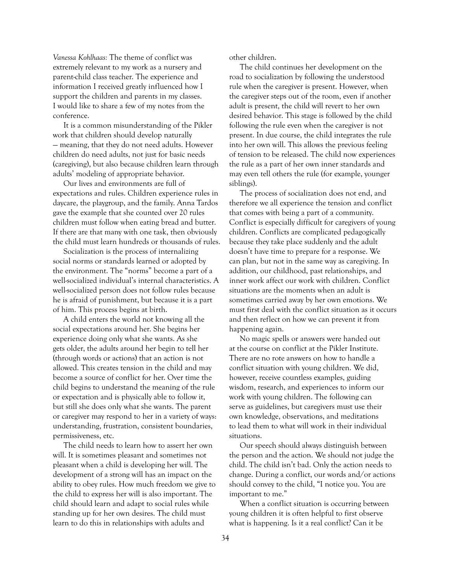*Vanessa Kohlhaas:* The theme of conflict was extremely relevant to my work as a nursery and parent-child class teacher. The experience and information I received greatly influenced how I support the children and parents in my classes. I would like to share a few of my notes from the conference.

It is a common misunderstanding of the Pikler work that children should develop naturally — meaning, that they do not need adults. However children do need adults, not just for basic needs (caregiving), but also because children learn through adults' modeling of appropriate behavior.

Our lives and environments are full of expectations and rules. Children experience rules in daycare, the playgroup, and the family. Anna Tardos gave the example that she counted over 20 rules children must follow when eating bread and butter. If there are that many with one task, then obviously the child must learn hundreds or thousands of rules.

Socialization is the process of internalizing social norms or standards learned or adopted by the environment. The "norms" become a part of a well-socialized individual's internal characteristics. A well-socialized person does not follow rules because he is afraid of punishment, but because it is a part of him. This process begins at birth.

A child enters the world not knowing all the social expectations around her. She begins her experience doing only what she wants. As she gets older, the adults around her begin to tell her (through words or actions) that an action is not allowed. This creates tension in the child and may become a source of conflict for her. Over time the child begins to understand the meaning of the rule or expectation and is physically able to follow it, but still she does only what she wants. The parent or caregiver may respond to her in a variety of ways: understanding, frustration, consistent boundaries, permissiveness, etc.

The child needs to learn how to assert her own will. It is sometimes pleasant and sometimes not pleasant when a child is developing her will. The development of a strong will has an impact on the ability to obey rules. How much freedom we give to the child to express her will is also important. The child should learn and adapt to social rules while standing up for her own desires. The child must learn to do this in relationships with adults and

other children.

The child continues her development on the road to socialization by following the understood rule when the caregiver is present. However, when the caregiver steps out of the room, even if another adult is present, the child will revert to her own desired behavior. This stage is followed by the child following the rule even when the caregiver is not present. In due course, the child integrates the rule into her own will. This allows the previous feeling of tension to be released. The child now experiences the rule as a part of her own inner standards and may even tell others the rule (for example, younger siblings).

The process of socialization does not end, and therefore we all experience the tension and conflict that comes with being a part of a community. Conflict is especially difficult for caregivers of young children. Conflicts are complicated pedagogically because they take place suddenly and the adult doesn't have time to prepare for a response. We can plan, but not in the same way as caregiving. In addition, our childhood, past relationships, and inner work affect our work with children. Conflict situations are the moments when an adult is sometimes carried away by her own emotions. We must first deal with the conflict situation as it occurs and then reflect on how we can prevent it from happening again.

No magic spells or answers were handed out at the course on conflict at the Pikler Institute. There are no rote answers on how to handle a conflict situation with young children. We did, however, receive countless examples, guiding wisdom, research, and experiences to inform our work with young children. The following can serve as guidelines, but caregivers must use their own knowledge, observations, and meditations to lead them to what will work in their individual situations.

Our speech should always distinguish between the person and the action. We should not judge the child. The child isn't bad. Only the action needs to change. During a conflict, our words and/or actions should convey to the child, "I notice you. You are important to me."

When a conflict situation is occurring between young children it is often helpful to first observe what is happening. Is it a real conflict? Can it be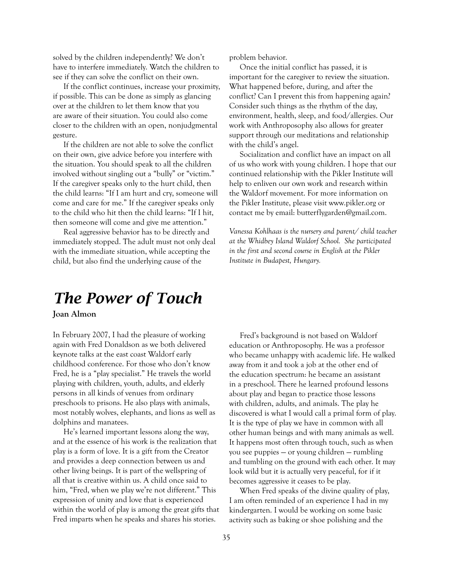solved by the children independently? We don't have to interfere immediately. Watch the children to see if they can solve the conflict on their own.

If the conflict continues, increase your proximity, if possible. This can be done as simply as glancing over at the children to let them know that you are aware of their situation. You could also come closer to the children with an open, nonjudgmental gesture.

If the children are not able to solve the conflict on their own, give advice before you interfere with the situation. You should speak to all the children involved without singling out a "bully" or "victim." If the caregiver speaks only to the hurt child, then the child learns: "If I am hurt and cry, someone will come and care for me." If the caregiver speaks only to the child who hit then the child learns: "If I hit, then someone will come and give me attention."

Real aggressive behavior has to be directly and immediately stopped. The adult must not only deal with the immediate situation, while accepting the child, but also find the underlying cause of the

problem behavior.

Once the initial conflict has passed, it is important for the caregiver to review the situation. What happened before, during, and after the conflict? Can I prevent this from happening again? Consider such things as the rhythm of the day, environment, health, sleep, and food/allergies. Our work with Anthroposophy also allows for greater support through our meditations and relationship with the child's angel.

Socialization and conflict have an impact on all of us who work with young children. I hope that our continued relationship with the Pikler Institute will help to enliven our own work and research within the Waldorf movement. For more information on the Pikler Institute, please visit www.pikler.org or contact me by email: butterflygarden@gmail.com.

*Vanessa Kohlhaas is the nursery and parent/ child teacher at the Whidbey Island Waldorf School. She participated in the first and second course in English at the Pikler Institute in Budapest, Hungary.*

### *The Power of Touch*

**Joan Almon**

In February 2007, I had the pleasure of working again with Fred Donaldson as we both delivered keynote talks at the east coast Waldorf early childhood conference. For those who don't know Fred, he is a "play specialist." He travels the world playing with children, youth, adults, and elderly persons in all kinds of venues from ordinary preschools to prisons. He also plays with animals, most notably wolves, elephants, and lions as well as dolphins and manatees.

He's learned important lessons along the way, and at the essence of his work is the realization that play is a form of love. It is a gift from the Creator and provides a deep connection between us and other living beings. It is part of the wellspring of all that is creative within us. A child once said to him, "Fred, when we play we're not different." This expression of unity and love that is experienced within the world of play is among the great gifts that Fred imparts when he speaks and shares his stories.

Fred's background is not based on Waldorf education or Anthroposophy. He was a professor who became unhappy with academic life. He walked away from it and took a job at the other end of the education spectrum: he became an assistant in a preschool. There he learned profound lessons about play and began to practice those lessons with children, adults, and animals. The play he discovered is what I would call a primal form of play. It is the type of play we have in common with all other human beings and with many animals as well. It happens most often through touch, such as when you see puppies — or young children — rumbling and tumbling on the ground with each other. It may look wild but it is actually very peaceful, for if it becomes aggressive it ceases to be play.

When Fred speaks of the divine quality of play, I am often reminded of an experience I had in my kindergarten. I would be working on some basic activity such as baking or shoe polishing and the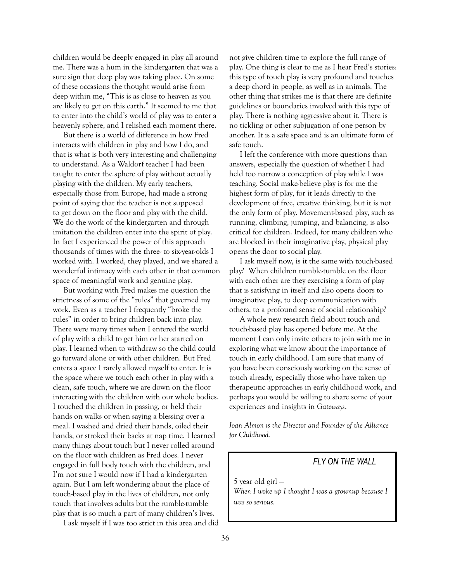children would be deeply engaged in play all around me. There was a hum in the kindergarten that was a sure sign that deep play was taking place. On some of these occasions the thought would arise from deep within me, "This is as close to heaven as you are likely to get on this earth." It seemed to me that to enter into the child's world of play was to enter a heavenly sphere, and I relished each moment there.

But there is a world of difference in how Fred interacts with children in play and how I do, and that is what is both very interesting and challenging to understand. As a Waldorf teacher I had been taught to enter the sphere of play without actually playing with the children. My early teachers, especially those from Europe, had made a strong point of saying that the teacher is not supposed to get down on the floor and play with the child. We do the work of the kindergarten and through imitation the children enter into the spirit of play. In fact I experienced the power of this approach thousands of times with the three- to six-year-olds I worked with. I worked, they played, and we shared a wonderful intimacy with each other in that common space of meaningful work and genuine play.

But working with Fred makes me question the strictness of some of the "rules" that governed my work. Even as a teacher I frequently "broke the rules" in order to bring children back into play. There were many times when I entered the world of play with a child to get him or her started on play. I learned when to withdraw so the child could go forward alone or with other children. But Fred enters a space I rarely allowed myself to enter. It is the space where we touch each other in play with a clean, safe touch, where we are down on the floor interacting with the children with our whole bodies. I touched the children in passing, or held their hands on walks or when saying a blessing over a meal. I washed and dried their hands, oiled their hands, or stroked their backs at nap time. I learned many things about touch but I never rolled around on the floor with children as Fred does. I never engaged in full body touch with the children, and I'm not sure I would now if I had a kindergarten again. But I am left wondering about the place of touch-based play in the lives of children, not only touch that involves adults but the rumble-tumble play that is so much a part of many children's lives.

I ask myself if I was too strict in this area and did

not give children time to explore the full range of play. One thing is clear to me as I hear Fred's stories: this type of touch play is very profound and touches a deep chord in people, as well as in animals. The other thing that strikes me is that there are definite guidelines or boundaries involved with this type of play. There is nothing aggressive about it. There is no tickling or other subjugation of one person by another. It is a safe space and is an ultimate form of safe touch.

I left the conference with more questions than answers, especially the question of whether I had held too narrow a conception of play while I was teaching. Social make-believe play is for me the highest form of play, for it leads directly to the development of free, creative thinking, but it is not the only form of play. Movement-based play, such as running, climbing, jumping, and balancing, is also critical for children. Indeed, for many children who are blocked in their imaginative play, physical play opens the door to social play.

I ask myself now, is it the same with touch-based play? When children rumble-tumble on the floor with each other are they exercising a form of play that is satisfying in itself and also opens doors to imaginative play, to deep communication with others, to a profound sense of social relationship?

A whole new research field about touch and touch-based play has opened before me. At the moment I can only invite others to join with me in exploring what we know about the importance of touch in early childhood. I am sure that many of you have been consciously working on the sense of touch already, especially those who have taken up therapeutic approaches in early childhood work, and perhaps you would be willing to share some of your experiences and insights in *Gateways*.

*Joan Almon is the Director and Founder of the Alliance for Childhood.*

### *FLY ON THE WALL*

5 year old girl — *When I woke up I thought I was a grownup because I was so serious.*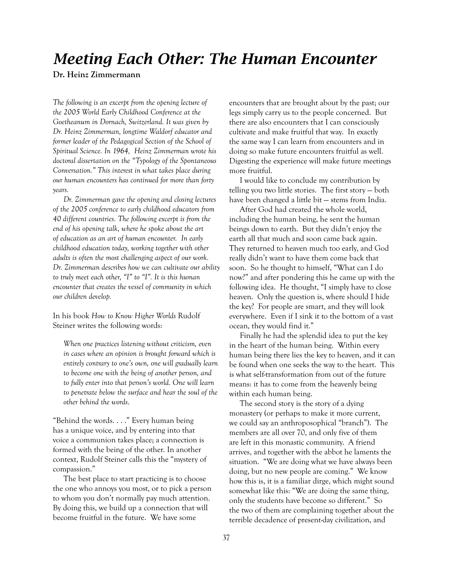### *Meeting Each Other: The Human Encounter*

**Dr. Heinz Zimmermann**

*The following is an excerpt from the opening lecture of the 2005 World Early Childhood Conference at the Goetheanum in Dornach, Switzerland. It was given by Dr. Heinz Zimmerman, longtime Waldorf educator and former leader of the Pedagogical Section of the School of Spiritual Science. In 1964, Heinz Zimmerman wrote his doctoral dissertation on the "Typology of the Spontaneous Conversation." This interest in what takes place during our human encounters has continued for more than forty years.* 

*Dr. Zimmerman gave the opening and closing lectures of the 2005 conference to early childhood educators from 40 different countries. The following excerpt is from the end of his opening talk, where he spoke about the art of education as an art of human encounter. In early childhood education today, working together with other adults is often the most challenging aspect of our work. Dr. Zimmerman describes how we can cultivate our ability to truly meet each other, "I" to "I". It is this human encounter that creates the vessel of community in which our children develop.*

In his book *How to Know Higher Worlds* Rudolf Steiner writes the following words:

*When one practices listening without criticism, even in cases where an opinion is brought forward which is entirely contrary to one's own, one will gradually learn to become one with the being of another person, and to fully enter into that person's world. One will learn to penetrate below the surface and hear the soul of the other behind the words*.

"Behind the words. . . ." Every human being has a unique voice, and by entering into that voice a communion takes place; a connection is formed with the being of the other. In another context, Rudolf Steiner calls this the "mystery of compassion."

The best place to start practicing is to choose the one who annoys you most, or to pick a person to whom you don't normally pay much attention. By doing this, we build up a connection that will become fruitful in the future. We have some

encounters that are brought about by the past; our legs simply carry us to the people concerned. But there are also encounters that I can consciously cultivate and make fruitful that way. In exactly the same way I can learn from encounters and in doing so make future encounters fruitful as well. Digesting the experience will make future meetings more fruitful.

I would like to conclude my contribution by telling you two little stories. The first story — both have been changed a little bit — stems from India.

After God had created the whole world, including the human being, he sent the human beings down to earth. But they didn't enjoy the earth all that much and soon came back again. They returned to heaven much too early, and God really didn't want to have them come back that soon. So he thought to himself, "What can I do now?" and after pondering this he came up with the following idea. He thought, "I simply have to close heaven. Only the question is, where should I hide the key? For people are smart, and they will look everywhere. Even if I sink it to the bottom of a vast ocean, they would find it."

Finally he had the splendid idea to put the key in the heart of the human being. Within every human being there lies the key to heaven, and it can be found when one seeks the way to the heart. This is what self-transformation from out of the future means: it has to come from the heavenly being within each human being.

The second story is the story of a dying monastery (or perhaps to make it more current, we could say an anthroposophical "branch"). The members are all over 70, and only five of them are left in this monastic community. A friend arrives, and together with the abbot he laments the situation. "We are doing what we have always been doing, but no new people are coming." We know how this is, it is a familiar dirge, which might sound somewhat like this: "We are doing the same thing, only the students have become so different." So the two of them are complaining together about the terrible decadence of present-day civilization, and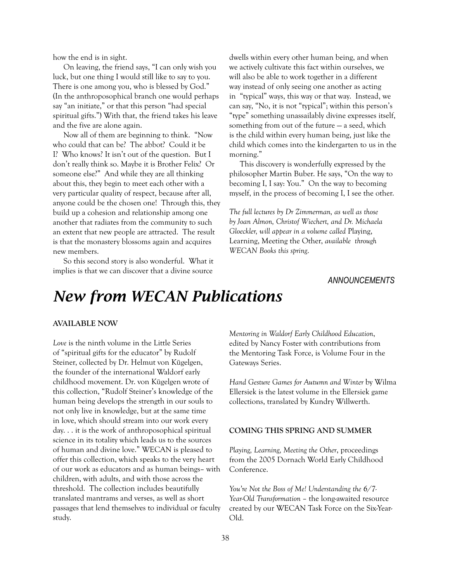how the end is in sight.

On leaving, the friend says, "I can only wish you luck, but one thing I would still like to say to you. There is one among you, who is blessed by God." (In the anthroposophical branch one would perhaps say "an initiate," or that this person "had special spiritual gifts.") With that, the friend takes his leave and the five are alone again.

Now all of them are beginning to think. "Now who could that can be? The abbot? Could it be I? Who knows? It isn't out of the question. But I don't really think so. Maybe it is Brother Felix? Or someone else?" And while they are all thinking about this, they begin to meet each other with a very particular quality of respect, because after all, anyone could be the chosen one! Through this, they build up a cohesion and relationship among one another that radiates from the community to such an extent that new people are attracted. The result is that the monastery blossoms again and acquires new members.

So this second story is also wonderful. What it implies is that we can discover that a divine source

dwells within every other human being, and when we actively cultivate this fact within ourselves, we will also be able to work together in a different way instead of only seeing one another as acting in "typical" ways, this way or that way. Instead, we can say, "No, it is not "typical"; within this person's "type" something unassailably divine expresses itself, something from out of the future — a seed, which is the child within every human being, just like the child which comes into the kindergarten to us in the morning."

This discovery is wonderfully expressed by the philosopher Martin Buber. He says, "On the way to becoming I, I say: You." On the way to becoming myself, in the process of becoming I, I see the other.

*The full lectures by Dr Zimmerman, as well as those by Joan Almon, Christof Wiechert, and Dr. Michaela Gloeckler, will appear in a volume called* Playing, Learning, Meeting the Other, *available through WECAN Books this spring*.

### *ANNOUNCEMENTS*

### *New from WECAN Publications*

### **AVAILABLE NOW**

*Love* is the ninth volume in the Little Series of "spiritual gifts for the educator" by Rudolf Steiner, collected by Dr. Helmut von Kügelgen, the founder of the international Waldorf early childhood movement. Dr. von Kügelgen wrote of this collection, "Rudolf Steiner's knowledge of the human being develops the strength in our souls to not only live in knowledge, but at the same time in love, which should stream into our work every day. . . it is the work of anthroposophical spiritual science in its totality which leads us to the sources of human and divine love." WECAN is pleased to offer this collection, which speaks to the very heart of our work as educators and as human beings– with children, with adults, and with those across the threshold. The collection includes beautifully translated mantrams and verses, as well as short passages that lend themselves to individual or faculty study.

*Mentoring in Waldorf Early Childhood Education*, edited by Nancy Foster with contributions from the Mentoring Task Force, is Volume Four in the Gateways Series.

*Hand Gesture Games for Autumn and Winter* by Wilma Ellersiek is the latest volume in the Ellersiek game collections, translated by Kundry Willwerth.

#### **COMING THIS SPRING AND SUMMER**

*Playing, Learning, Meeting the Other*, proceedings from the 2005 Dornach World Early Childhood Conference.

*You're Not the Boss of Me! Understanding the 6/7- Year-Old Transformation* – the long-awaited resource created by our WECAN Task Force on the Six-Year-Old.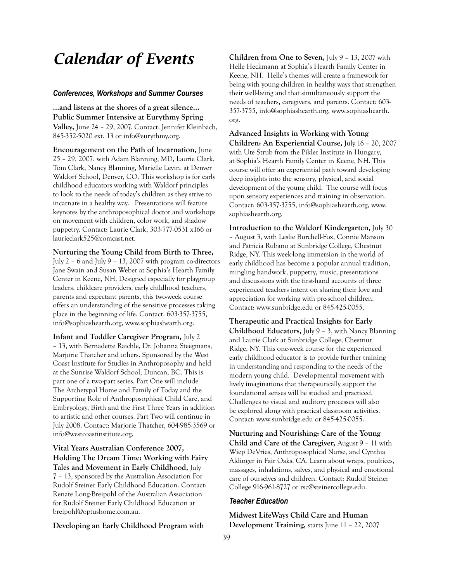### *Calendar of Events*

#### *Conferences, Workshops and Summer Courses*

**...and listens at the shores of a great silence... Public Summer Intensive at Eurythmy Spring Valley,** June 24 – 29, 2007. Contact: Jennifer Kleinbach, 845-352-5020 ext. 13 or info@eurythmy.org.

**Encouragement on the Path of Incarnation,** June 25 – 29, 2007, with Adam Blanning, MD, Laurie Clark, Tom Clark, Nancy Blanning, Marielle Levin, at Denver Waldorf School, Denver, CO. This workshop is for early childhood educators working with Waldorf principles to look to the needs of today's children as they strive to incarnate in a healthy way. Presentations will feature keynotes by the anthroposophical doctor and workshops on movement with children, color work, and shadow puppetry. Contact: Laurie Clark, 303-777-0531 x166 or laurieclark525@comcast.net.

**Nurturing the Young Child from Birth to Three,** July 2 – 6 and July 9 – 13, 2007 with program co-directors Jane Swain and Susan Weber at Sophia's Hearth Family Center in Keene, NH. Designed especially for playgroup leaders, childcare providers, early childhood teachers, parents and expectant parents, this two-week course offers an understanding of the sensitive processes taking place in the beginning of life. Contact: 603-357-3755, info@sophiashearth.org, www.sophiashearth.org.

**Infant and Toddler Caregiver Program,** July 2 – 13, with Bernadette Raichle, Dr. Johanna Steegmans, Marjorie Thatcher and others. Sponsored by the West Coast Institute for Studies in Anthroposophy and held at the Sunrise Waldorf School, Duncan, BC. This is part one of a two-part series. Part One will include The Archetypal Home and Family of Today and the Supporting Role of Anthroposophical Child Care, and Embryology, Birth and the First Three Years in addition to artistic and other courses. Part Two will continue in July 2008. Contact: Marjorie Thatcher, 604-985-3569 or info@westcoastinstitute.org.

### **Vital Years Australian Conference 2007, Holding The Dream Time: Working with Fairy Tales and Movement in Early Childhood,** July

7 – 13, sponsored by the Australian Association For Rudolf Steiner Early Childhood Education. Contact: Renate Long-Breipohl of the Australian Association for Rudolf Steiner Early Childhood Education at breipohl@optushome.com.au.

**Developing an Early Childhood Program with** 

**Children from One to Seven,** July 9 – 13, 2007 with Helle Heckmann at Sophia's Hearth Family Center in Keene, NH. Helle's themes will create a framework for being with young children in healthy ways that strengthen their well-being and that simultaneously support the needs of teachers, caregivers, and parents. Contact: 603- 357-3755, info@sophiashearth.org, www.sophiashearth. org.

**Advanced Insights in Working with Young Children: An Experiential Course,** July 16 – 20, 2007 with Ute Strub from the Pikler Institute in Hungary, at Sophia's Hearth Family Center in Keene, NH. This course will offer an experiential path toward developing deep insights into the sensory, physical, and social development of the young child. The course will focus upon sensory experiences and training in observation. Contact: 603-357-3755, info@sophiashearth.org, www. sophiashearth.org.

**Introduction to the Waldorf Kindergarten,** July 30 – August 3, with Leslie Burchell-Fox, Connie Manson and Patricia Rubano at Sunbridge College, Chestnut Ridge, NY. This week-long immersion in the world of early childhood has become a popular annual tradition, mingling handwork, puppetry, music, presentations and discussions with the first-hand accounts of three experienced teachers intent on sharing their love and appreciation for working with pre-school children. Contact: www.sunbridge.edu or 845-425-0055.

**Therapeutic and Practical Insights for Early Childhood Educators,** July 9 – 3, with Nancy Blanning and Laurie Clark at Sunbridge College, Chestnut Ridge, NY. This one-week course for the experienced early childhood educator is to provide further training in understanding and responding to the needs of the modern young child. Developmental movement with lively imaginations that therapeutically support the foundational senses will be studied and practiced. Challenges to visual and auditory processes will also be explored along with practical classroom activities. Contact: www.sunbridge.edu or 845-425-0055.

**Nurturing and Nourishing: Care of the Young Child and Care of the Caregiver,** August 9 – 11 with Wiep DeVries, Anthroposophical Nurse, and Cynthia Aldinger in Fair Oaks, CA. Learn about wraps, poultices, massages, inhalations, salves, and physical and emotional care of ourselves and children. Contact: Rudolf Steiner College 916-961-8727 or rsc@steinercollege.edu.

### *Teacher Education*

**Midwest LifeWays Child Care and Human Development Training,** starts June 11 – 22, 2007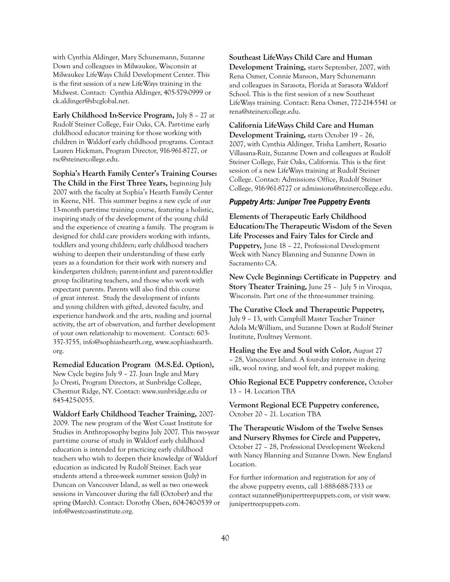with Cynthia Aldinger, Mary Schunemann, Suzanne Down and colleagues in Milwaukee, Wisconsin at Milwaukee LifeWays Child Development Center. This is the first session of a new LifeWays training in the Midwest. Contact: Cynthia Aldinger, 405-579-0999 or ck.aldinger@sbcglobal.net.

**Early Childhood In-Service Program,** July 8 – 27 at Rudolf Steiner College, Fair Oaks, CA. Part-time early childhood educator training for those working with children in Waldorf early childhood programs. Contact Lauren Hickman, Program Director, 916-961-8727, or rsc@steinercollege.edu.

**Sophia's Hearth Family Center's Training Course: The Child in the First Three Years,** beginning July 2007 with the faculty at Sophia's Hearth Family Center in Keene, NH. This summer begins a new cycle of our 13-month part-time training course, featuring a holistic, inspiring study of the development of the young child and the experience of creating a family. The program is designed for child care providers working with infants, toddlers and young children; early childhood teachers wishing to deepen their understanding of these early years as a foundation for their work with nursery and kindergarten children; parent-infant and parent-toddler group facilitating teachers, and those who work with expectant parents. Parents will also find this course of great interest. Study the development of infants and young children with gifted, devoted faculty, and experience handwork and the arts, reading and journal activity, the art of observation, and further development of your own relationship to movement. Contact: 603- 357-3755, info@sophiashearth.org, www.sophiashearth. org.

**Remedial Education Program (M.S.Ed. Option),**  New Cycle begins July 9 – 27. Joan Ingle and Mary Jo Oresti, Program Directors, at Sunbridge College, Chestnut Ridge, NY. Contact: www.sunbridge.edu or 845-425-0055.

**Waldorf Early Childhood Teacher Training,** 2007- 2009. The new program of the West Coast Institute for Studies in Anthroposophy begins July 2007. This two-year part-time course of study in Waldorf early childhood education is intended for practicing early childhood teachers who wish to deepen their knowledge of Waldorf education as indicated by Rudolf Steiner. Each year students attend a three-week summer session (July) in Duncan on Vancouver Island, as well as two one-week sessions in Vancouver during the fall (October) and the spring (March). Contact: Dorothy Olsen, 604-740-0539 or info@westcoastinstitute.org.

#### **Southeast LifeWays Child Care and Human**

**Development Training,** starts September, 2007, with Rena Osmer, Connie Manson, Mary Schunemann and colleagues in Sarasota, Florida at Sarasota Waldorf School. This is the first session of a new Southeast LifeWays training. Contact: Rena Osmer, 772-214-5541 or rena@steinercollege.edu.

#### **California LifeWays Child Care and Human**

**Development Training,** starts October 19 – 26, 2007, with Cynthia Aldinger, Trisha Lambert, Rosario Villasana-Ruiz, Suzanne Down and colleagues at Rudolf Steiner College, Fair Oaks, California. This is the first session of a new LifeWays training at Rudolf Steiner College. Contact: Admissions Office, Rudolf Steiner College, 916-961-8727 or admissions@steinercollege.edu.

#### *Puppetry Arts: Juniper Tree Puppetry Events*

**Elements of Therapeutic Early Childhood Education:The Therapeutic Wisdom of the Seven Life Processes and Fairy Tales for Circle and Puppetry,** June 18 – 22, Professional Development Week with Nancy Blanning and Suzanne Down in Sacramento CA.

**New Cycle Beginning: Certificate in Puppetry and Story Theater Training,** June 25 – July 5 in Viroqua, Wisconsin. Part one of the three-summer training.

**The Curative Clock and Therapeutic Puppetry,**  July 9 – 13, with Camphill Master Teacher Trainer Adola McWilliam, and Suzanne Down at Rudolf Steiner Institute, Poultney Vermont.

**Healing the Eye and Soul with Color,** August 27 – 28, Vancouver Island. A four-day intensive in dyeing silk, wool roving, and wool felt, and puppet making.

**Ohio Regional ECE Puppetry conference,** October 13 – 14. Location TBA

**Vermont Regional ECE Puppetry conference,**  October 20 – 21. Location TBA

**The Therapeutic Wisdom of the Twelve Senses and Nursery Rhymes for Circle and Puppetry,**  October 27 – 28, Professional Development Weekend with Nancy Blanning and Suzanne Down. New England Location.

For further information and registration for any of the above puppetry events, call 1-888-688-7333 or contact suzanne@junipertreepuppets.com, or visit www. junipertreepuppets.com.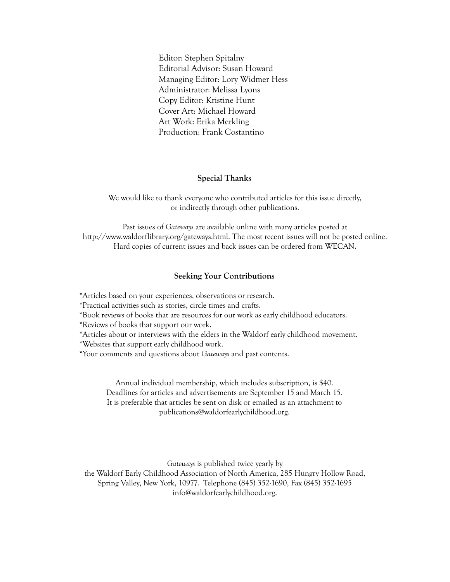Editor: Stephen Spitalny Editorial Advisor: Susan Howard Managing Editor: Lory Widmer Hess Administrator: Melissa Lyons Copy Editor: Kristine Hunt Cover Art: Michael Howard Art Work: Erika Merkling Production: Frank Costantino

### **Special Thanks**

We would like to thank everyone who contributed articles for this issue directly, or indirectly through other publications.

Past issues of *Gateways* are available online with many articles posted at http://www.waldorflibrary.org/gateways.html. The most recent issues will not be posted online. Hard copies of current issues and back issues can be ordered from WECAN.

### **Seeking Your Contributions**

\*Articles based on your experiences, observations or research.

\*Practical activities such as stories, circle times and crafts.

\*Book reviews of books that are resources for our work as early childhood educators.

\*Reviews of books that support our work.

\*Articles about or interviews with the elders in the Waldorf early childhood movement.

\*Websites that support early childhood work.

\*Your comments and questions about *Gateways* and past contents.

Annual individual membership, which includes subscription, is \$40. Deadlines for articles and advertisements are September 15 and March 15. It is preferable that articles be sent on disk or emailed as an attachment to publications@waldorfearlychildhood.org.

*Gateways* is published twice yearly by

the Waldorf Early Childhood Association of North America, 285 Hungry Hollow Road, Spring Valley, New York, 10977. Telephone (845) 352-1690, Fax (845) 352-1695 info@waldorfearlychildhood.org.